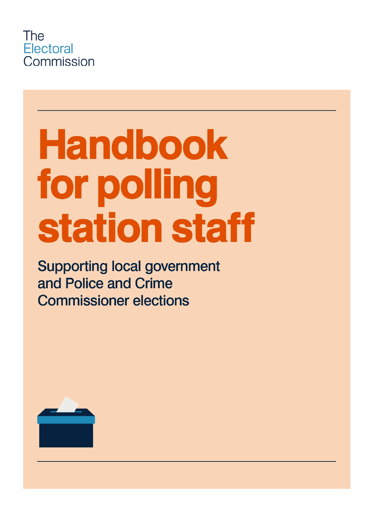

# **Handbook** for polling station staff

**Supporting local government** and Police and Crime **Commissioner elections** 

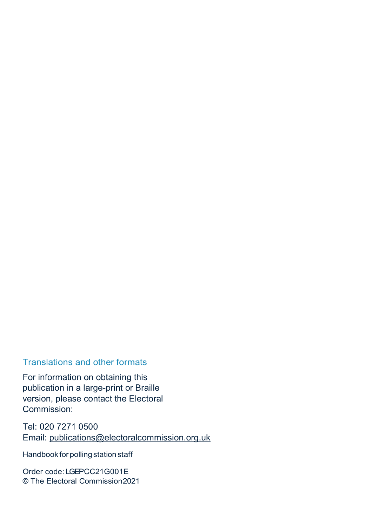#### Translations and other formats

For information on obtaining this publication in a large-print or Braille version, please contact the Electoral Commission:

Tel: 020 7271 0500 Email: publications@electoralcommission.org.uk

Handbook for polling station staff

Order code: LGEPCC21G001E © The Electoral Commission 2021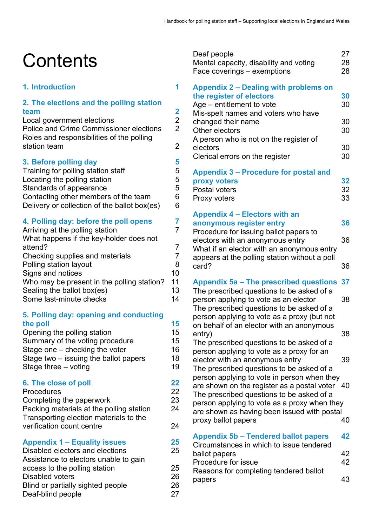Deaf people 27

## **Contents**

#### **1. Introduction 1**

## **2. The elections and the polling station team 2**

Local government elections Police and Crime Commissioner elections 2 Roles and responsibilities of the polling station team 2

#### **3. Before polling day 5**

| Training for polling station staff           | 5 |
|----------------------------------------------|---|
| Locating the polling station                 | 5 |
| Standards of appearance                      | 5 |
| Contacting other members of the team         | հ |
| Delivery or collection of the ballot box(es) | 6 |
|                                              |   |

#### **4. Polling day: before the poll opens 7**

| Arriving at the polling station            |    |
|--------------------------------------------|----|
| What happens if the key-holder does not    |    |
| attend?                                    |    |
| Checking supplies and materials            | 7  |
| Polling station layout                     | 8  |
| Signs and notices                          | 10 |
| Who may be present in the polling station? | 11 |
| Sealing the ballot box(es)                 | 13 |
| Some last-minute checks                    | 14 |
|                                            |    |

#### **5. Polling day: opening and conducting the poll 15**

| Opening the polling station              | 15 |
|------------------------------------------|----|
| Summary of the voting procedure          | 15 |
| Stage one – checking the voter           | 16 |
| Stage two – issuing the ballot papers    | 18 |
| Stage three $-$ voting                   | 19 |
| 6. The close of poll                     | 22 |
| <b>Procedures</b>                        | 22 |
| Completing the paperwork                 | 23 |
| Packing materials at the polling station | 24 |

| r acking matchais at the poling station | ▱  |
|-----------------------------------------|----|
| Transporting election materials to the  |    |
| verification count centre               | 24 |
|                                         |    |

#### **Appendix 1 – Equality issues 25**

| Disabled electors and elections       | 25 |
|---------------------------------------|----|
| Assistance to electors unable to gain |    |
| access to the polling station         | 25 |
| Disabled voters                       | 26 |
| Blind or partially sighted people     | 26 |
| Deaf-blind people                     | 27 |

| Mental capacity, disability and voting<br>Face coverings – exemptions                                                                                                                                                                     | 28<br>28       |
|-------------------------------------------------------------------------------------------------------------------------------------------------------------------------------------------------------------------------------------------|----------------|
| <b>Appendix 2 – Dealing with problems on</b><br>the register of electors<br>Age – entitlement to vote                                                                                                                                     | 30<br>30       |
| Mis-spelt names and voters who have<br>changed their name<br>Other electors<br>A person who is not on the register of                                                                                                                     | 30<br>30       |
| electors<br>Clerical errors on the register                                                                                                                                                                                               | 30<br>30       |
| <b>Appendix 3 – Procedure for postal and</b><br>proxy voters<br>Postal voters<br>Proxy voters                                                                                                                                             | 32<br>32<br>33 |
| Appendix 4 - Electors with an<br>anonymous register entry<br>Procedure for issuing ballot papers to                                                                                                                                       | 36             |
| electors with an anonymous entry<br>What if an elector with an anonymous entry<br>appears at the polling station without a poll<br>card?                                                                                                  | 36<br>36       |
| Appendix 5a - The prescribed questions<br>The prescribed questions to be asked of a<br>person applying to vote as an elector<br>The prescribed questions to be asked of a<br>person applying to vote as a proxy (but not                  | 37<br>38       |
| on behalf of an elector with an anonymous<br>entry)<br>The prescribed questions to be asked of a                                                                                                                                          | 38             |
| person applying to vote as a proxy for an<br>elector with an anonymous entry<br>The prescribed questions to be asked of a                                                                                                                 | 39             |
| person applying to vote in person when they<br>are shown on the register as a postal voter 40<br>The prescribed questions to be asked of a<br>person applying to vote as a proxy when they<br>are shown as having been issued with postal |                |
| proxy ballot papers<br><b>Appendix 5b - Tendered ballot papers</b>                                                                                                                                                                        | 40<br>42       |
| Circumstances in which to issue tendered<br>ballot papers<br>Procedure for issue                                                                                                                                                          | 42<br>42       |
| Reasons for completing tendered ballot<br>papers                                                                                                                                                                                          | 43             |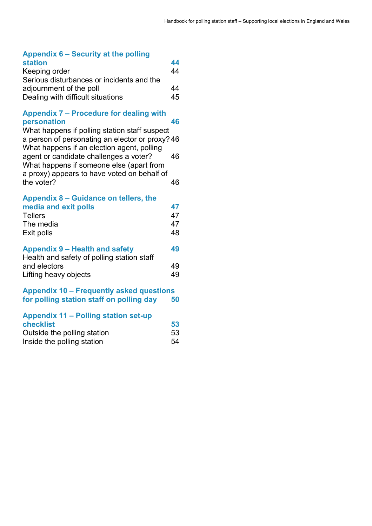| Appendix 6 – Security at the polling      |    |
|-------------------------------------------|----|
| station                                   | 44 |
| Keeping order                             | 44 |
| Serious disturbances or incidents and the |    |

| adjournment of the poll           | 44 |
|-----------------------------------|----|
| Dealing with difficult situations | 45 |

| <b>Appendix 7 – Procedure for dealing with</b> |    |
|------------------------------------------------|----|
| personation                                    | 46 |

What happens if polling station staff suspect a person of personating an elector or proxy? 46 What happens if an election agent, polling agent or candidate challenges a voter? 46 What happens if someone else (apart from a proxy) appears to have voted on behalf of the voter? 46

| Appendix 8 – Guidance on tellers, the      |    |
|--------------------------------------------|----|
| media and exit polls                       | 47 |
| <b>Tellers</b>                             | 47 |
| The media                                  | 47 |
| Exit polls                                 | 48 |
| Appendix 9 – Health and safety             | 49 |
| Health and safety of polling station staff |    |
| and electors                               | 49 |
| Lifting heavy objects                      | 49 |
| Appendix 10 – Frequently asked questions   |    |
| for polling station staff on polling day   | 50 |
| Appendix 11 - Polling station set-up       |    |
| فمناءا ممطم                                | гΩ |

| <b>checklist</b>            | 53 |
|-----------------------------|----|
| Outside the polling station | 53 |
| Inside the polling station  | 54 |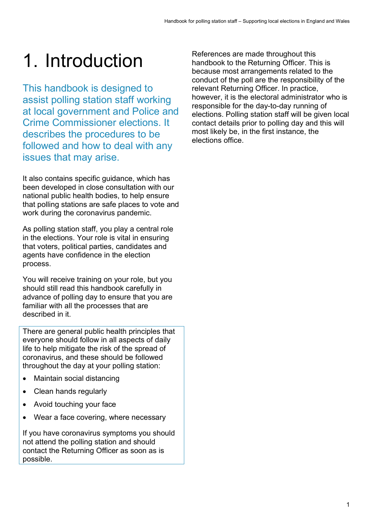## 1. Introduction

This handbook is designed to assist polling station staff working at local government and Police and Crime Commissioner elections. It describes the procedures to be followed and how to deal with any issues that may arise.

It also contains specific guidance, which has been developed in close consultation with our national public health bodies, to help ensure that polling stations are safe places to vote and work during the coronavirus pandemic.

As polling station staff, you play a central role in the elections. Your role is vital in ensuring that voters, political parties, candidates and agents have confidence in the election process.

You will receive training on your role, but you should still read this handbook carefully in advance of polling day to ensure that you are familiar with all the processes that are described in it.

There are general public health principles that everyone should follow in all aspects of daily life to help mitigate the risk of the spread of coronavirus, and these should be followed throughout the day at your polling station:

- Maintain social distancing
- Clean hands regularly
- Avoid touching your face
- Wear a face covering, where necessary

If you have coronavirus symptoms you should not attend the polling station and should contact the Returning Officer as soon as is possible.

References are made throughout this handbook to the Returning Officer. This is because most arrangements related to the conduct of the poll are the responsibility of the relevant Returning Officer. In practice, however, it is the electoral administrator who is responsible for the day-to-day running of elections. Polling station staff will be given local contact details prior to polling day and this will most likely be, in the first instance, the elections office.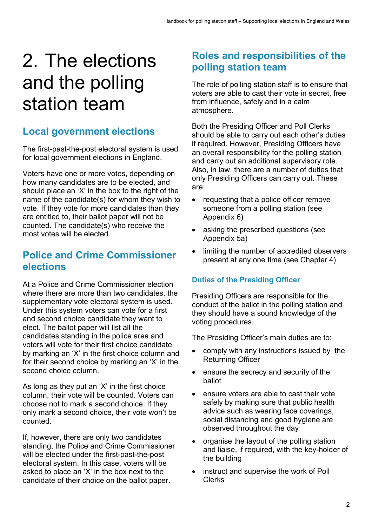## 2. The elections and the polling station team

## **Local government elections**

The first-past-the-post electoral system is used for local government elections in England.

Voters have one or more votes, depending on how many candidates are to be elected, and should place an 'X' in the box to the right of the name of the candidate(s) for whom they wish to vote. If they vote for more candidates than they are entitled to, their ballot paper will not be counted. The candidate(s) who receive the most votes will be elected.

### **Police and Crime Commissioner elections**

At a Police and Crime Commissioner election where there are more than two candidates, the supplementary vote electoral system is used. Under this system voters can vote for a first and second choice candidate they want to elect. The ballot paper will list all the candidates standing in the police area and voters will vote for their first choice candidate by marking an 'X' in the first choice column and for their second choice by marking an 'X' in the second choice column.

As long as they put an 'X' in the first choice column, their vote will be counted. Voters can choose not to mark a second choice. If they only mark a second choice, their vote won't be counted.

If, however, there are only two candidates standing, the Police and Crime Commissioner will be elected under the first-past-the-post electoral system. In this case, voters will be asked to place an 'X' in the box next to the candidate of their choice on the ballot paper.

## **Roles and responsibilities of the polling station team**

The role of polling station staff is to ensure that voters are able to cast their vote in secret, free from influence, safely and in a calm atmosphere.

Both the Presiding Officer and Poll Clerks should be able to carry out each other's duties if required. However, Presiding Officers have an overall responsibility for the polling station and carry out an additional supervisory role. Also, in law, there are a number of duties that only Presiding Officers can carry out. These are:

- requesting that a police officer remove someone from a polling station (see Appendix 6)
- asking the prescribed questions (see Appendix 5a)
- limiting the number of accredited observers present at any one time (see Chapter 4)

#### **Duties of the Presiding Officer**

Presiding Officers are responsible for the conduct of the ballot in the polling station and they should have a sound knowledge of the voting procedures.

The Presiding Officer's main duties are to:

- comply with any instructions issued by the Returning Officer
- ensure the secrecy and security of the ballot
- ensure voters are able to cast their vote safely by making sure that public health advice such as wearing face coverings, social distancing and good hygiene are observed throughout the day
- organise the layout of the polling station and liaise, if required, with the key-holder of the building
- instruct and supervise the work of Poll Clerks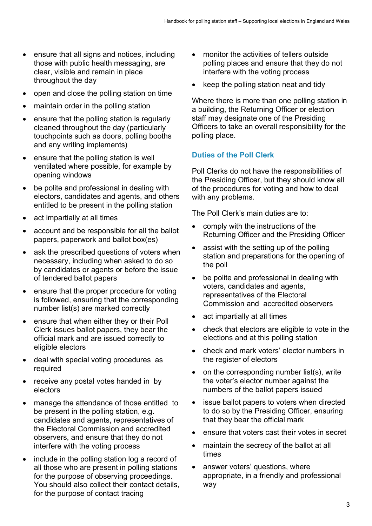- ensure that all signs and notices, including those with public health messaging, are clear, visible and remain in place throughout the day
- open and close the polling station on time
- maintain order in the polling station
- ensure that the polling station is regularly cleaned throughout the day (particularly touchpoints such as doors, polling booths and any writing implements)
- ensure that the polling station is well ventilated where possible, for example by opening windows
- be polite and professional in dealing with electors, candidates and agents, and others entitled to be present in the polling station
- act impartially at all times
- account and be responsible for all the ballot papers, paperwork and ballot box(es)
- ask the prescribed questions of voters when necessary, including when asked to do so by candidates or agents or before the issue of tendered ballot papers
- ensure that the proper procedure for voting is followed, ensuring that the corresponding number list(s) are marked correctly
- ensure that when either they or their Poll Clerk issues ballot papers, they bear the official mark and are issued correctly to eligible electors
- deal with special voting procedures as required
- receive any postal votes handed in by electors
- manage the attendance of those entitled to be present in the polling station, e.g. candidates and agents, representatives of the Electoral Commission and accredited observers, and ensure that they do not interfere with the voting process
- include in the polling station log a record of all those who are present in polling stations for the purpose of observing proceedings. You should also collect their contact details, for the purpose of contact tracing
- monitor the activities of tellers outside polling places and ensure that they do not interfere with the voting process
- keep the polling station neat and tidy

Where there is more than one polling station in a building, the Returning Officer or election staff may designate one of the Presiding Officers to take an overall responsibility for the polling place.

#### **Duties of the Poll Clerk**

Poll Clerks do not have the responsibilities of the Presiding Officer, but they should know all of the procedures for voting and how to deal with any problems.

The Poll Clerk's main duties are to:

- comply with the instructions of the Returning Officer and the Presiding Officer
- assist with the setting up of the polling station and preparations for the opening of the poll
- be polite and professional in dealing with voters, candidates and agents, representatives of the Electoral Commission and accredited observers
- act impartially at all times
- check that electors are eligible to vote in the elections and at this polling station
- check and mark voters' elector numbers in the register of electors
- on the corresponding number list(s), write the voter's elector number against the numbers of the ballot papers issued
- issue ballot papers to voters when directed to do so by the Presiding Officer, ensuring that they bear the official mark
- ensure that voters cast their votes in secret
- maintain the secrecy of the ballot at all times
- answer voters' questions, where appropriate, in a friendly and professional way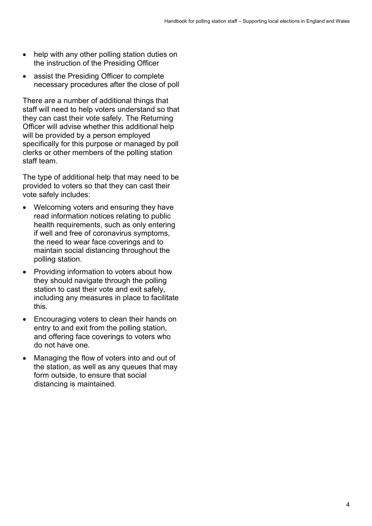- help with any other polling station duties on the instruction of the Presiding Officer
- assist the Presiding Officer to complete necessary procedures after the close of poll

There are a number of additional things that staff will need to help voters understand so that they can cast their vote safely. The Returning Officer will advise whether this additional help will be provided by a person employed specifically for this purpose or managed by poll clerks or other members of the polling station staff team.

The type of additional help that may need to be provided to voters so that they can cast their vote safely includes:

- Welcoming voters and ensuring they have read information notices relating to public health requirements, such as only entering if well and free of coronavirus symptoms, the need to wear face coverings and to maintain social distancing throughout the polling station.
- Providing information to voters about how they should navigate through the polling station to cast their vote and exit safely, including any measures in place to facilitate this.
- Encouraging voters to clean their hands on entry to and exit from the polling station, and offering face coverings to voters who do not have one.
- Managing the flow of voters into and out of the station, as well as any queues that may form outside, to ensure that social distancing is maintained.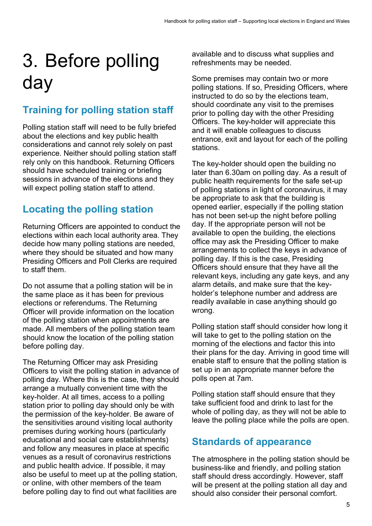## 3. Before polling day

## **Training for polling station staff**

Polling station staff will need to be fully briefed about the elections and key public health considerations and cannot rely solely on past experience. Neither should polling station staff rely only on this handbook. Returning Officers should have scheduled training or briefing sessions in advance of the elections and they will expect polling station staff to attend.

## **Locating the polling station**

Returning Officers are appointed to conduct the elections within each local authority area. They decide how many polling stations are needed, where they should be situated and how many Presiding Officers and Poll Clerks are required to staff them.

Do not assume that a polling station will be in the same place as it has been for previous elections or referendums. The Returning Officer will provide information on the location of the polling station when appointments are made. All members of the polling station team should know the location of the polling station before polling day.

The Returning Officer may ask Presiding Officers to visit the polling station in advance of polling day. Where this is the case, they should arrange a mutually convenient time with the key-holder. At all times, access to a polling station prior to polling day should only be with the permission of the key-holder. Be aware of the sensitivities around visiting local authority premises during working hours (particularly educational and social care establishments) and follow any measures in place at specific venues as a result of coronavirus restrictions and public health advice. If possible, it may also be useful to meet up at the polling station, or online, with other members of the team before polling day to find out what facilities are

available and to discuss what supplies and refreshments may be needed.

Some premises may contain two or more polling stations. If so, Presiding Officers, where instructed to do so by the elections team, should coordinate any visit to the premises prior to polling day with the other Presiding Officers. The key-holder will appreciate this and it will enable colleagues to discuss entrance, exit and layout for each of the polling stations.

The key-holder should open the building no later than 6.30am on polling day. As a result of public health requirements for the safe set-up of polling stations in light of coronavirus, it may be appropriate to ask that the building is opened earlier, especially if the polling station has not been set-up the night before polling day. If the appropriate person will not be available to open the building, the elections office may ask the Presiding Officer to make arrangements to collect the keys in advance of polling day. If this is the case, Presiding Officers should ensure that they have all the relevant keys, including any gate keys, and any alarm details, and make sure that the keyholder's telephone number and address are readily available in case anything should go wrong.

Polling station staff should consider how long it will take to get to the polling station on the morning of the elections and factor this into their plans for the day. Arriving in good time will enable staff to ensure that the polling station is set up in an appropriate manner before the polls open at 7am.

Polling station staff should ensure that they take sufficient food and drink to last for the whole of polling day, as they will not be able to leave the polling place while the polls are open.

## **Standards of appearance**

The atmosphere in the polling station should be business-like and friendly, and polling station staff should dress accordingly. However, staff will be present at the polling station all day and should also consider their personal comfort.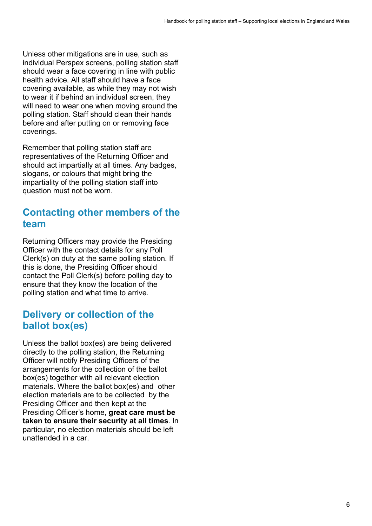Unless other mitigations are in use, such as individual Perspex screens, polling station staff should wear a face covering in line with public health advice. All staff should have a face covering available, as while they may not wish to wear it if behind an individual screen, they will need to wear one when moving around the polling station. Staff should clean their hands before and after putting on or removing face coverings.

Remember that polling station staff are representatives of the Returning Officer and should act impartially at all times. Any badges, slogans, or colours that might bring the impartiality of the polling station staff into question must not be worn.

### **Contacting other members of the team**

Returning Officers may provide the Presiding Officer with the contact details for any Poll Clerk(s) on duty at the same polling station. If this is done, the Presiding Officer should contact the Poll Clerk(s) before polling day to ensure that they know the location of the polling station and what time to arrive.

## **Delivery or collection of the ballot box(es)**

Unless the ballot box(es) are being delivered directly to the polling station, the Returning Officer will notify Presiding Officers of the arrangements for the collection of the ballot box(es) together with all relevant election materials. Where the ballot box(es) and other election materials are to be collected by the Presiding Officer and then kept at the Presiding Officer's home, **great care must be taken to ensure their security at all times**. In particular, no election materials should be left unattended in a car.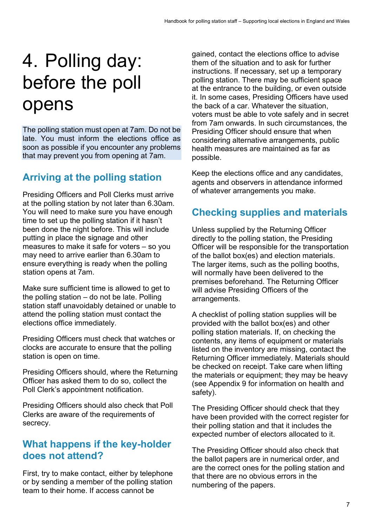## 4. Polling day: before the poll opens

The polling station must open at 7am. Do not be late. You must inform the elections office as soon as possible if you encounter any problems that may prevent you from opening at 7am.

## **Arriving at the polling station**

Presiding Officers and Poll Clerks must arrive at the polling station by not later than 6.30am. You will need to make sure you have enough time to set up the polling station if it hasn't been done the night before. This will include putting in place the signage and other measures to make it safe for voters – so you may need to arrive earlier than 6.30am to ensure everything is ready when the polling station opens at 7am.

Make sure sufficient time is allowed to get to the polling station – do not be late. Polling station staff unavoidably detained or unable to attend the polling station must contact the elections office immediately.

Presiding Officers must check that watches or clocks are accurate to ensure that the polling station is open on time.

Presiding Officers should, where the Returning Officer has asked them to do so, collect the Poll Clerk's appointment notification.

Presiding Officers should also check that Poll Clerks are aware of the requirements of secrecy.

### **What happens if the key-holder does not attend?**

First, try to make contact, either by telephone or by sending a member of the polling station team to their home. If access cannot be

gained, contact the elections office to advise them of the situation and to ask for further instructions. If necessary, set up a temporary polling station. There may be sufficient space at the entrance to the building, or even outside it. In some cases, Presiding Officers have used the back of a car. Whatever the situation, voters must be able to vote safely and in secret from 7am onwards. In such circumstances, the Presiding Officer should ensure that when considering alternative arrangements, public health measures are maintained as far as possible.

Keep the elections office and any candidates, agents and observers in attendance informed of whatever arrangements you make.

## **Checking supplies and materials**

Unless supplied by the Returning Officer directly to the polling station, the Presiding Officer will be responsible for the transportation of the ballot box(es) and election materials. The larger items, such as the polling booths, will normally have been delivered to the premises beforehand. The Returning Officer will advise Presiding Officers of the arrangements.

A checklist of polling station supplies will be provided with the ballot box(es) and other polling station materials. If, on checking the contents, any items of equipment or materials listed on the inventory are missing, contact the Returning Officer immediately. Materials should be checked on receipt. Take care when lifting the materials or equipment; they may be heavy (see Appendix 9 for information on health and safety).

The Presiding Officer should check that they have been provided with the correct register for their polling station and that it includes the expected number of electors allocated to it.

The Presiding Officer should also check that the ballot papers are in numerical order, and are the correct ones for the polling station and that there are no obvious errors in the numbering of the papers.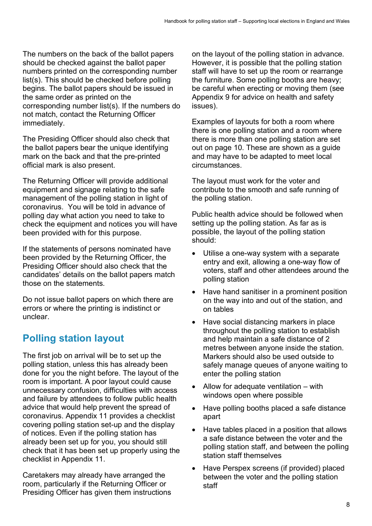The numbers on the back of the ballot papers should be checked against the ballot paper numbers printed on the corresponding number list(s). This should be checked before polling begins. The ballot papers should be issued in the same order as printed on the corresponding number list(s). If the numbers do not match, contact the Returning Officer immediately.

The Presiding Officer should also check that the ballot papers bear the unique identifying mark on the back and that the pre-printed official mark is also present.

The Returning Officer will provide additional equipment and signage relating to the safe management of the polling station in light of coronavirus. You will be told in advance of polling day what action you need to take to check the equipment and notices you will have been provided with for this purpose.

If the statements of persons nominated have been provided by the Returning Officer, the Presiding Officer should also check that the candidates' details on the ballot papers match those on the statements.

Do not issue ballot papers on which there are errors or where the printing is indistinct or unclear.

## **Polling station layout**

The first job on arrival will be to set up the polling station, unless this has already been done for you the night before. The layout of the room is important. A poor layout could cause unnecessary confusion, difficulties with access and failure by attendees to follow public health advice that would help prevent the spread of coronavirus. Appendix 11 provides a checklist covering polling station set-up and the display of notices. Even if the polling station has already been set up for you, you should still check that it has been set up properly using the checklist in Appendix 11.

Caretakers may already have arranged the room, particularly if the Returning Officer or Presiding Officer has given them instructions

on the layout of the polling station in advance. However, it is possible that the polling station staff will have to set up the room or rearrange the furniture. Some polling booths are heavy; be careful when erecting or moving them (see Appendix 9 for advice on health and safety issues).

Examples of layouts for both a room where there is one polling station and a room where there is more than one polling station are set out on page 10. These are shown as a guide and may have to be adapted to meet local circumstances.

The layout must work for the voter and contribute to the smooth and safe running of the polling station.

Public health advice should be followed when setting up the polling station. As far as is possible, the layout of the polling station should:

- Utilise a one-way system with a separate entry and exit, allowing a one-way flow of voters, staff and other attendees around the polling station
- Have hand sanitiser in a prominent position on the way into and out of the station, and on tables
- Have social distancing markers in place throughout the polling station to establish and help maintain a safe distance of 2 metres between anyone inside the station. Markers should also be used outside to safely manage queues of anyone waiting to enter the polling station
- Allow for adequate ventilation with windows open where possible
- Have polling booths placed a safe distance apart
- Have tables placed in a position that allows a safe distance between the voter and the polling station staff, and between the polling station staff themselves
- Have Perspex screens (if provided) placed between the voter and the polling station staff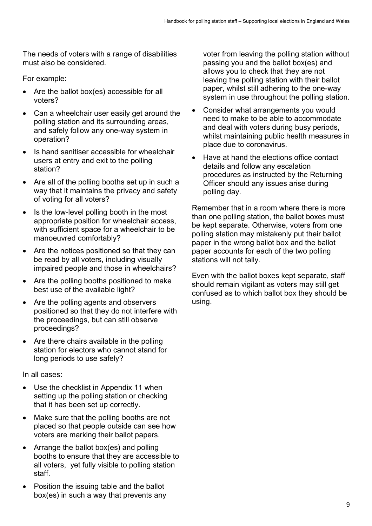The needs of voters with a range of disabilities must also be considered.

For example:

- Are the ballot box(es) accessible for all voters?
- Can a wheelchair user easily get around the polling station and its surrounding areas, and safely follow any one-way system in operation?
- Is hand sanitiser accessible for wheelchair users at entry and exit to the polling station?
- Are all of the polling booths set up in such a way that it maintains the privacy and safety of voting for all voters?
- Is the low-level polling booth in the most appropriate position for wheelchair access, with sufficient space for a wheelchair to be manoeuvred comfortably?
- Are the notices positioned so that they can be read by all voters, including visually impaired people and those in wheelchairs?
- Are the polling booths positioned to make best use of the available light?
- Are the polling agents and observers positioned so that they do not interfere with the proceedings, but can still observe proceedings?
- Are there chairs available in the polling station for electors who cannot stand for long periods to use safely?

In all cases:

- Use the checklist in Appendix 11 when setting up the polling station or checking that it has been set up correctly.
- Make sure that the polling booths are not placed so that people outside can see how voters are marking their ballot papers.
- Arrange the ballot box(es) and polling booths to ensure that they are accessible to all voters, yet fully visible to polling station staff.
- Position the issuing table and the ballot box(es) in such a way that prevents any

voter from leaving the polling station without passing you and the ballot box(es) and allows you to check that they are not leaving the polling station with their ballot paper, whilst still adhering to the one-way system in use throughout the polling station.

- Consider what arrangements you would need to make to be able to accommodate and deal with voters during busy periods, whilst maintaining public health measures in place due to coronavirus.
- Have at hand the elections office contact details and follow any escalation procedures as instructed by the Returning Officer should any issues arise during polling day.

Remember that in a room where there is more than one polling station, the ballot boxes must be kept separate. Otherwise, voters from one polling station may mistakenly put their ballot paper in the wrong ballot box and the ballot paper accounts for each of the two polling stations will not tally.

Even with the ballot boxes kept separate, staff should remain vigilant as voters may still get confused as to which ballot box they should be using.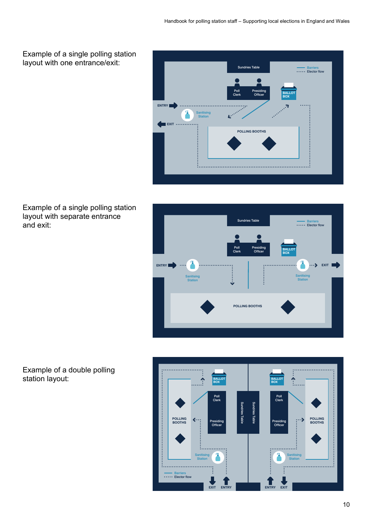

Example of a single polling station layout with separate entrance and exit:





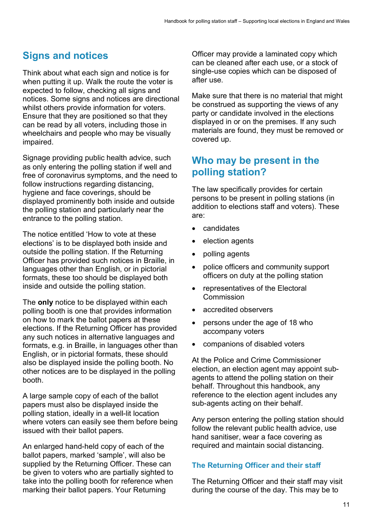## **Signs and notices**

Think about what each sign and notice is for when putting it up. Walk the route the voter is expected to follow, checking all signs and notices. Some signs and notices are directional whilst others provide information for voters. Ensure that they are positioned so that they can be read by all voters, including those in wheelchairs and people who may be visually impaired.

Signage providing public health advice, such as only entering the polling station if well and free of coronavirus symptoms, and the need to follow instructions regarding distancing, hygiene and face coverings, should be displayed prominently both inside and outside the polling station and particularly near the entrance to the polling station.

The notice entitled 'How to vote at these elections' is to be displayed both inside and outside the polling station. If the Returning Officer has provided such notices in Braille, in languages other than English, or in pictorial formats, these too should be displayed both inside and outside the polling station.

The **only** notice to be displayed within each polling booth is one that provides information on how to mark the ballot papers at these elections. If the Returning Officer has provided any such notices in alternative languages and formats, e.g. in Braille, in languages other than English, or in pictorial formats, these should also be displayed inside the polling booth. No other notices are to be displayed in the polling booth.

A large sample copy of each of the ballot papers must also be displayed inside the polling station, ideally in a well-lit location where voters can easily see them before being issued with their ballot papers.

An enlarged hand-held copy of each of the ballot papers, marked 'sample', will also be supplied by the Returning Officer. These can be given to voters who are partially sighted to take into the polling booth for reference when marking their ballot papers. Your Returning

Officer may provide a laminated copy which can be cleaned after each use, or a stock of single-use copies which can be disposed of after use.

Make sure that there is no material that might be construed as supporting the views of any party or candidate involved in the elections displayed in or on the premises. If any such materials are found, they must be removed or covered up.

### **Who may be present in the polling station?**

The law specifically provides for certain persons to be present in polling stations (in addition to elections staff and voters). These are:

- candidates
- election agents
- polling agents
- police officers and community support officers on duty at the polling station
- representatives of the Electoral Commission
- accredited observers
- persons under the age of 18 who accompany voters
- companions of disabled voters

At the Police and Crime Commissioner election, an election agent may appoint subagents to attend the polling station on their behalf. Throughout this handbook, any reference to the election agent includes any sub-agents acting on their behalf.

Any person entering the polling station should follow the relevant public health advice, use hand sanitiser, wear a face covering as required and maintain social distancing.

#### **The Returning Officer and their staff**

The Returning Officer and their staff may visit during the course of the day. This may be to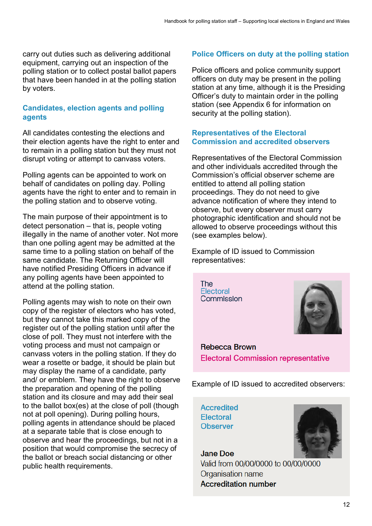carry out duties such as delivering additional equipment, carrying out an inspection of the polling station or to collect postal ballot papers that have been handed in at the polling station by voters.

#### **Candidates, election agents and polling agents**

All candidates contesting the elections and their election agents have the right to enter and to remain in a polling station but they must not disrupt voting or attempt to canvass voters.

Polling agents can be appointed to work on behalf of candidates on polling day. Polling agents have the right to enter and to remain in the polling station and to observe voting.

The main purpose of their appointment is to detect personation – that is, people voting illegally in the name of another voter. Not more than one polling agent may be admitted at the same time to a polling station on behalf of the same candidate. The Returning Officer will have notified Presiding Officers in advance if any polling agents have been appointed to attend at the polling station.

Polling agents may wish to note on their own copy of the register of electors who has voted, but they cannot take this marked copy of the register out of the polling station until after the close of poll. They must not interfere with the voting process and must not campaign or canvass voters in the polling station. If they do wear a rosette or badge, it should be plain but may display the name of a candidate, party and/ or emblem. They have the right to observe the preparation and opening of the polling station and its closure and may add their seal to the ballot box(es) at the close of poll (though not at poll opening). During polling hours, polling agents in attendance should be placed at a separate table that is close enough to observe and hear the proceedings, but not in a position that would compromise the secrecy of the ballot or breach social distancing or other public health requirements.

#### **Police Officers on duty at the polling station**

Police officers and police community support officers on duty may be present in the polling station at any time, although it is the Presiding Officer's duty to maintain order in the polling station (see Appendix 6 for information on security at the polling station).

#### **Representatives of the Electoral Commission and accredited observers**

Representatives of the Electoral Commission and other individuals accredited through the Commission's official observer scheme are entitled to attend all polling station proceedings. They do not need to give advance notification of where they intend to observe, but every observer must carry photographic identification and should not be allowed to observe proceedings without this (see examples below).

Example of ID issued to Commission representatives:

The Electoral Commission



**Rebecca Brown Electoral Commission representative** 

Example of ID issued to accredited observers:

**Accredited** Electoral **Observer** 



**Jane Doe** Valid from 00/00/0000 to 00/00/0000 Organisation name **Accreditation number**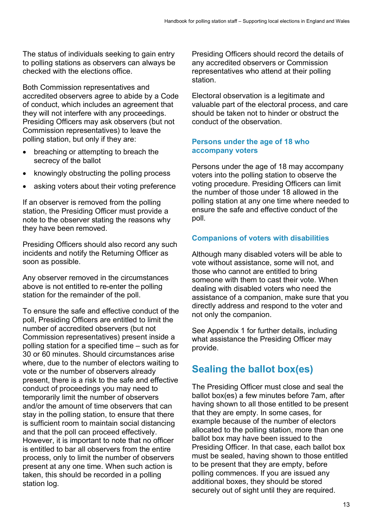The status of individuals seeking to gain entry to polling stations as observers can always be checked with the elections office.

Both Commission representatives and accredited observers agree to abide by a Code of conduct, which includes an agreement that they will not interfere with any proceedings. Presiding Officers may ask observers (but not Commission representatives) to leave the polling station, but only if they are:

- breaching or attempting to breach the secrecy of the ballot
- knowingly obstructing the polling process
- asking voters about their voting preference

If an observer is removed from the polling station, the Presiding Officer must provide a note to the observer stating the reasons why they have been removed.

Presiding Officers should also record any such incidents and notify the Returning Officer as soon as possible.

Any observer removed in the circumstances above is not entitled to re-enter the polling station for the remainder of the poll.

To ensure the safe and effective conduct of the poll, Presiding Officers are entitled to limit the number of accredited observers (but not Commission representatives) present inside a polling station for a specified time – such as for 30 or 60 minutes. Should circumstances arise where, due to the number of electors waiting to vote or the number of observers already present, there is a risk to the safe and effective conduct of proceedings you may need to temporarily limit the number of observers and/or the amount of time observers that can stay in the polling station, to ensure that there is sufficient room to maintain social distancing and that the poll can proceed effectively. However, it is important to note that no officer is entitled to bar all observers from the entire process, only to limit the number of observers present at any one time. When such action is taken, this should be recorded in a polling station log.

Presiding Officers should record the details of any accredited observers or Commission representatives who attend at their polling station.

Electoral observation is a legitimate and valuable part of the electoral process, and care should be taken not to hinder or obstruct the conduct of the observation.

#### **Persons under the age of 18 who accompany voters**

Persons under the age of 18 may accompany voters into the polling station to observe the voting procedure. Presiding Officers can limit the number of those under 18 allowed in the polling station at any one time where needed to ensure the safe and effective conduct of the poll.

#### **Companions of voters with disabilities**

Although many disabled voters will be able to vote without assistance, some will not, and those who cannot are entitled to bring someone with them to cast their vote. When dealing with disabled voters who need the assistance of a companion, make sure that you directly address and respond to the voter and not only the companion.

See Appendix 1 for further details, including what assistance the Presiding Officer may provide.

## **Sealing the ballot box(es)**

The Presiding Officer must close and seal the ballot box(es) a few minutes before 7am, after having shown to all those entitled to be present that they are empty. In some cases, for example because of the number of electors allocated to the polling station, more than one ballot box may have been issued to the Presiding Officer. In that case, each ballot box must be sealed, having shown to those entitled to be present that they are empty, before polling commences. If you are issued any additional boxes, they should be stored securely out of sight until they are required.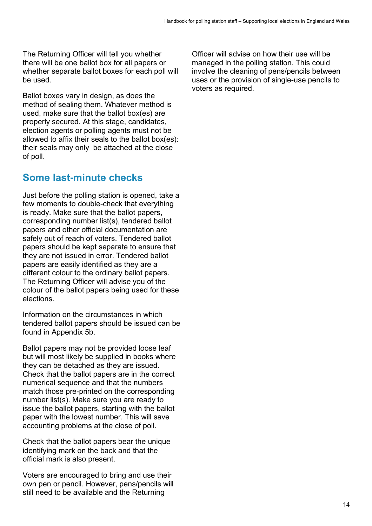The Returning Officer will tell you whether there will be one ballot box for all papers or whether separate ballot boxes for each poll will be used.

Ballot boxes vary in design, as does the method of sealing them. Whatever method is used, make sure that the ballot box(es) are properly secured. At this stage, candidates, election agents or polling agents must not be allowed to affix their seals to the ballot box(es): their seals may only be attached at the close of poll.

### **Some last-minute checks**

Just before the polling station is opened, take a few moments to double-check that everything is ready. Make sure that the ballot papers, corresponding number list(s), tendered ballot papers and other official documentation are safely out of reach of voters. Tendered ballot papers should be kept separate to ensure that they are not issued in error. Tendered ballot papers are easily identified as they are a different colour to the ordinary ballot papers. The Returning Officer will advise you of the colour of the ballot papers being used for these elections.

Information on the circumstances in which tendered ballot papers should be issued can be found in Appendix 5b.

Ballot papers may not be provided loose leaf but will most likely be supplied in books where they can be detached as they are issued. Check that the ballot papers are in the correct numerical sequence and that the numbers match those pre-printed on the corresponding number list(s). Make sure you are ready to issue the ballot papers, starting with the ballot paper with the lowest number. This will save accounting problems at the close of poll.

Check that the ballot papers bear the unique identifying mark on the back and that the official mark is also present.

Voters are encouraged to bring and use their own pen or pencil. However, pens/pencils will still need to be available and the Returning

Officer will advise on how their use will be managed in the polling station. This could involve the cleaning of pens/pencils between uses or the provision of single-use pencils to voters as required.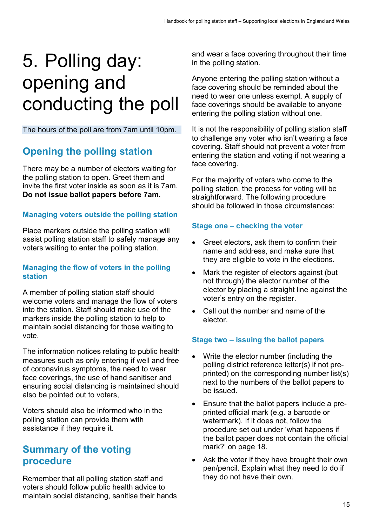## 5. Polling day: opening and conducting the poll

The hours of the poll are from 7am until 10pm.

## **Opening the polling station**

There may be a number of electors waiting for the polling station to open. Greet them and invite the first voter inside as soon as it is 7am. **Do not issue ballot papers before 7am.**

#### **Managing voters outside the polling station**

Place markers outside the polling station will assist polling station staff to safely manage any voters waiting to enter the polling station.

#### **Managing the flow of voters in the polling station**

A member of polling station staff should welcome voters and manage the flow of voters into the station. Staff should make use of the markers inside the polling station to help to maintain social distancing for those waiting to vote.

The information notices relating to public health measures such as only entering if well and free of coronavirus symptoms, the need to wear face coverings, the use of hand sanitiser and ensuring social distancing is maintained should also be pointed out to voters,

Voters should also be informed who in the polling station can provide them with assistance if they require it.

### **Summary of the voting procedure**

Remember that all polling station staff and voters should follow public health advice to maintain social distancing, sanitise their hands and wear a face covering throughout their time in the polling station.

Anyone entering the polling station without a face covering should be reminded about the need to wear one unless exempt. A supply of face coverings should be available to anyone entering the polling station without one.

It is not the responsibility of polling station staff to challenge any voter who isn't wearing a face covering. Staff should not prevent a voter from entering the station and voting if not wearing a face covering.

For the majority of voters who come to the polling station, the process for voting will be straightforward. The following procedure should be followed in those circumstances:

#### **Stage one – checking the voter**

- Greet electors, ask them to confirm their name and address, and make sure that they are eligible to vote in the elections.
- Mark the register of electors against (but not through) the elector number of the elector by placing a straight line against the voter's entry on the register.
- Call out the number and name of the elector.

#### **Stage two – issuing the ballot papers**

- Write the elector number (including the polling district reference letter(s) if not preprinted) on the corresponding number list(s) next to the numbers of the ballot papers to be issued.
- Ensure that the ballot papers include a preprinted official mark (e.g. a barcode or watermark). If it does not, follow the procedure set out under 'what happens if the ballot paper does not contain the official mark?' on page 18.
- Ask the voter if they have brought their own pen/pencil. Explain what they need to do if they do not have their own.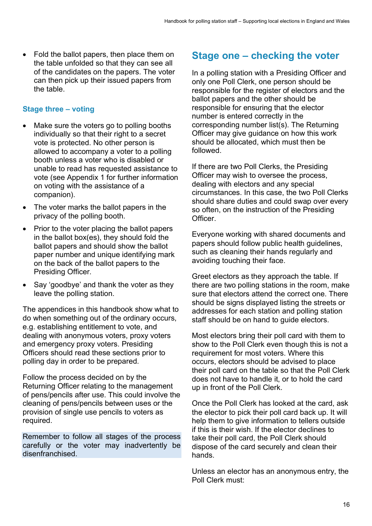• Fold the ballot papers, then place them on the table unfolded so that they can see all of the candidates on the papers. The voter can then pick up their issued papers from the table.

#### **Stage three – voting**

- Make sure the voters go to polling booths individually so that their right to a secret vote is protected. No other person is allowed to accompany a voter to a polling booth unless a voter who is disabled or unable to read has requested assistance to vote (see Appendix 1 for further information on voting with the assistance of a companion).
- The voter marks the ballot papers in the privacy of the polling booth.
- Prior to the voter placing the ballot papers in the ballot box(es), they should fold the ballot papers and should show the ballot paper number and unique identifying mark on the back of the ballot papers to the Presiding Officer.
- Say 'goodbye' and thank the voter as they leave the polling station.

The appendices in this handbook show what to do when something out of the ordinary occurs, e.g. establishing entitlement to vote, and dealing with anonymous voters, proxy voters and emergency proxy voters. Presiding Officers should read these sections prior to polling day in order to be prepared.

Follow the process decided on by the Returning Officer relating to the management of pens/pencils after use. This could involve the cleaning of pens/pencils between uses or the provision of single use pencils to voters as required.

Remember to follow all stages of the process carefully or the voter may inadvertently be disenfranchised.

### **Stage one – checking the voter**

In a polling station with a Presiding Officer and only one Poll Clerk, one person should be responsible for the register of electors and the ballot papers and the other should be responsible for ensuring that the elector number is entered correctly in the corresponding number list(s). The Returning Officer may give guidance on how this work should be allocated, which must then be followed.

If there are two Poll Clerks, the Presiding Officer may wish to oversee the process, dealing with electors and any special circumstances. In this case, the two Poll Clerks should share duties and could swap over every so often, on the instruction of the Presiding Officer.

Everyone working with shared documents and papers should follow public health guidelines, such as cleaning their hands regularly and avoiding touching their face.

Greet electors as they approach the table. If there are two polling stations in the room, make sure that electors attend the correct one. There should be signs displayed listing the streets or addresses for each station and polling station staff should be on hand to guide electors.

Most electors bring their poll card with them to show to the Poll Clerk even though this is not a requirement for most voters. Where this occurs, electors should be advised to place their poll card on the table so that the Poll Clerk does not have to handle it, or to hold the card up in front of the Poll Clerk.

Once the Poll Clerk has looked at the card, ask the elector to pick their poll card back up. It will help them to give information to tellers outside if this is their wish. If the elector declines to take their poll card, the Poll Clerk should dispose of the card securely and clean their hands.

Unless an elector has an anonymous entry, the Poll Clerk must: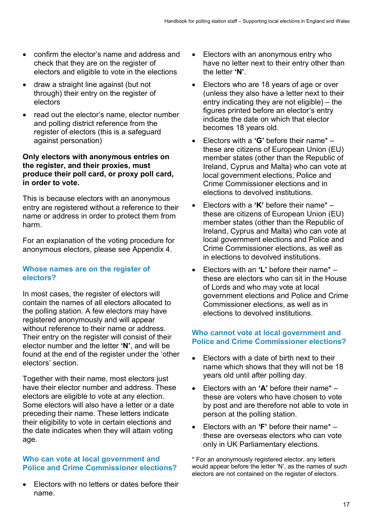- confirm the elector's name and address and check that they are on the register of electors and eligible to vote in the elections
- draw a straight line against (but not through) their entry on the register of electors
- read out the elector's name, elector number and polling district reference from the register of electors (this is a safeguard against personation)

#### **Only electors with anonymous entries on the register, and their proxies, must produce their poll card, or proxy poll card, in order to vote.**

This is because electors with an anonymous entry are registered without a reference to their name or address in order to protect them from harm.

For an explanation of the voting procedure for anonymous electors, please see Appendix 4.

#### **Whose names are on the register of electors?**

In most cases, the register of electors will contain the names of all electors allocated to the polling station. A few electors may have registered anonymously and will appear without reference to their name or address. Their entry on the register will consist of their elector number and the letter **'N'**, and will be found at the end of the register under the 'other electors' section.

Together with their name, most electors just have their elector number and address. These electors are eligible to vote at any election. Some electors will also have a letter or a date preceding their name. These letters indicate their eligibility to vote in certain elections and the date indicates when they will attain voting age.

#### **Who can vote at local government and Police and Crime Commissioner elections?**

• Electors with no letters or dates before their name.

- Electors with an anonymous entry who have no letter next to their entry other than the letter **'N'**.
- Electors who are 18 years of age or over (unless they also have a letter next to their entry indicating they are not eligible) – the figures printed before an elector's entry indicate the date on which that elector becomes 18 years old.
- Electors with a **'G'** before their name\* these are citizens of European Union (EU) member states (other than the Republic of Ireland, Cyprus and Malta) who can vote at local government elections, Police and Crime Commissioner elections and in elections to devolved institutions.
- Electors with a **'K'** before their name\* these are citizens of European Union (EU) member states (other than the Republic of Ireland, Cyprus and Malta) who can vote at local government elections and Police and Crime Commissioner elections, as well as in elections to devolved institutions.
- Electors with an **'L'** before their name\* these are electors who can sit in the House of Lords and who may vote at local government elections and Police and Crime Commissioner elections, as well as in elections to devolved institutions.

#### **Who cannot vote at local government and Police and Crime Commissioner elections?**

- Electors with a date of birth next to their name which shows that they will not be 18 years old until after polling day.
- Electors with an **'A'** before their name\* these are voters who have chosen to vote by post and are therefore not able to vote in person at the polling station.
- Electors with an **'F'** before their name\* these are overseas electors who can vote only in UK Parliamentary elections.

\* For an anonymously registered elector, any letters would appear before the letter 'N', as the names of such electors are not contained on the register of electors.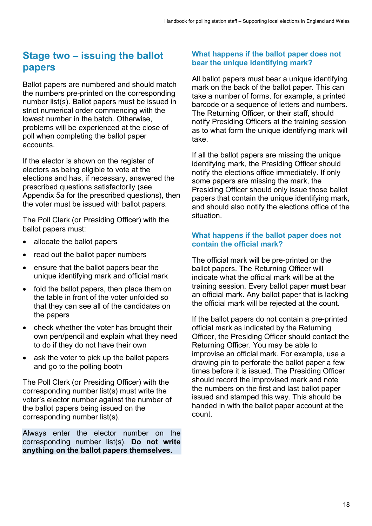## **Stage two – issuing the ballot papers**

Ballot papers are numbered and should match the numbers pre-printed on the corresponding number list(s). Ballot papers must be issued in strict numerical order commencing with the lowest number in the batch. Otherwise, problems will be experienced at the close of poll when completing the ballot paper accounts.

If the elector is shown on the register of electors as being eligible to vote at the elections and has, if necessary, answered the prescribed questions satisfactorily (see Appendix 5a for the prescribed questions), then the voter must be issued with ballot papers.

The Poll Clerk (or Presiding Officer) with the ballot papers must:

- allocate the ballot papers
- read out the ballot paper numbers
- ensure that the ballot papers bear the unique identifying mark and official mark
- fold the ballot papers, then place them on the table in front of the voter unfolded so that they can see all of the candidates on the papers
- check whether the voter has brought their own pen/pencil and explain what they need to do if they do not have their own
- ask the voter to pick up the ballot papers and go to the polling booth

The Poll Clerk (or Presiding Officer) with the corresponding number list(s) must write the voter's elector number against the number of the ballot papers being issued on the corresponding number list(s).

Always enter the elector number on the corresponding number list(s). **Do not write anything on the ballot papers themselves.**

#### **What happens if the ballot paper does not bear the unique identifying mark?**

All ballot papers must bear a unique identifying mark on the back of the ballot paper. This can take a number of forms, for example, a printed barcode or a sequence of letters and numbers. The Returning Officer, or their staff, should notify Presiding Officers at the training session as to what form the unique identifying mark will take.

If all the ballot papers are missing the unique identifying mark, the Presiding Officer should notify the elections office immediately. If only some papers are missing the mark, the Presiding Officer should only issue those ballot papers that contain the unique identifying mark, and should also notify the elections office of the situation.

#### **What happens if the ballot paper does not contain the official mark?**

The official mark will be pre-printed on the ballot papers. The Returning Officer will indicate what the official mark will be at the training session. Every ballot paper **must** bear an official mark. Any ballot paper that is lacking the official mark will be rejected at the count.

If the ballot papers do not contain a pre-printed official mark as indicated by the Returning Officer, the Presiding Officer should contact the Returning Officer. You may be able to improvise an official mark. For example, use a drawing pin to perforate the ballot paper a few times before it is issued. The Presiding Officer should record the improvised mark and note the numbers on the first and last ballot paper issued and stamped this way. This should be handed in with the ballot paper account at the count.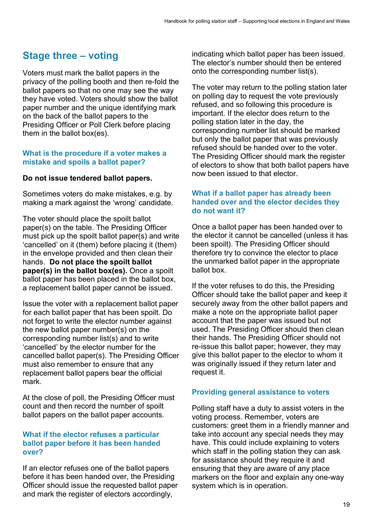## **Stage three – voting**

Voters must mark the ballot papers in the privacy of the polling booth and then re-fold the ballot papers so that no one may see the way they have voted. Voters should show the ballot paper number and the unique identifying mark on the back of the ballot papers to the Presiding Officer or Poll Clerk before placing them in the ballot box(es).

#### **What is the procedure if a voter makes a mistake and spoils a ballot paper?**

#### **Do not issue tendered ballot papers.**

Sometimes voters do make mistakes, e.g. by making a mark against the 'wrong' candidate.

The voter should place the spoilt ballot paper(s) on the table. The Presiding Officer must pick up the spoilt ballot paper(s) and write 'cancelled' on it (them) before placing it (them) in the envelope provided and then clean their hands. **Do not place the spoilt ballot paper(s) in the ballot box(es).** Once a spoilt ballot paper has been placed in the ballot box, a replacement ballot paper cannot be issued.

Issue the voter with a replacement ballot paper for each ballot paper that has been spoilt. Do not forget to write the elector number against the new ballot paper number(s) on the corresponding number list(s) and to write 'cancelled' by the elector number for the cancelled ballot paper(s). The Presiding Officer must also remember to ensure that any replacement ballot papers bear the official mark.

At the close of poll, the Presiding Officer must count and then record the number of spoilt ballot papers on the ballot paper accounts.

#### **What if the elector refuses a particular ballot paper before it has been handed over?**

If an elector refuses one of the ballot papers before it has been handed over, the Presiding Officer should issue the requested ballot paper and mark the register of electors accordingly,

indicating which ballot paper has been issued. The elector's number should then be entered onto the corresponding number list(s).

The voter may return to the polling station later on polling day to request the vote previously refused, and so following this procedure is important. If the elector does return to the polling station later in the day, the corresponding number list should be marked but only the ballot paper that was previously refused should be handed over to the voter. The Presiding Officer should mark the register of electors to show that both ballot papers have now been issued to that elector.

#### **What if a ballot paper has already been handed over and the elector decides they do not want it?**

Once a ballot paper has been handed over to the elector it cannot be cancelled (unless it has been spoilt). The Presiding Officer should therefore try to convince the elector to place the unmarked ballot paper in the appropriate ballot box.

If the voter refuses to do this, the Presiding Officer should take the ballot paper and keep it securely away from the other ballot papers and make a note on the appropriate ballot paper account that the paper was issued but not used. The Presiding Officer should then clean their hands. The Presiding Officer should not re-issue this ballot paper; however, they may give this ballot paper to the elector to whom it was originally issued if they return later and request it.

#### **Providing general assistance to voters**

Polling staff have a duty to assist voters in the voting process. Remember, voters are customers: greet them in a friendly manner and take into account any special needs they may have. This could include explaining to voters which staff in the polling station they can ask for assistance should they require it and ensuring that they are aware of any place markers on the floor and explain any one-way system which is in operation.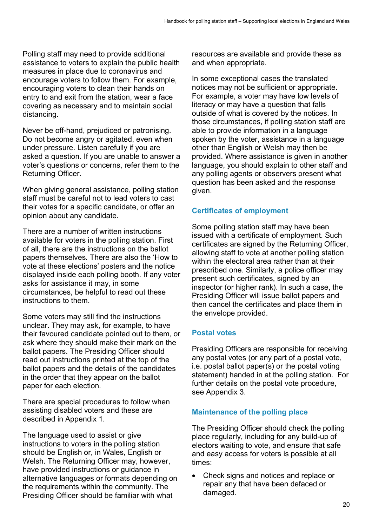Polling staff may need to provide additional assistance to voters to explain the public health measures in place due to coronavirus and encourage voters to follow them. For example, encouraging voters to clean their hands on entry to and exit from the station, wear a face covering as necessary and to maintain social distancing.

Never be off-hand, prejudiced or patronising. Do not become angry or agitated, even when under pressure. Listen carefully if you are asked a question. If you are unable to answer a voter's questions or concerns, refer them to the Returning Officer.

When giving general assistance, polling station staff must be careful not to lead voters to cast their votes for a specific candidate, or offer an opinion about any candidate.

There are a number of written instructions available for voters in the polling station. First of all, there are the instructions on the ballot papers themselves. There are also the 'How to vote at these elections' posters and the notice displayed inside each polling booth. If any voter asks for assistance it may, in some circumstances, be helpful to read out these instructions to them.

Some voters may still find the instructions unclear. They may ask, for example, to have their favoured candidate pointed out to them, or ask where they should make their mark on the ballot papers. The Presiding Officer should read out instructions printed at the top of the ballot papers and the details of the candidates in the order that they appear on the ballot paper for each election.

There are special procedures to follow when assisting disabled voters and these are described in Appendix 1.

The language used to assist or give instructions to voters in the polling station should be English or, in Wales, English or Welsh. The Returning Officer may, however, have provided instructions or guidance in alternative languages or formats depending on the requirements within the community. The Presiding Officer should be familiar with what

resources are available and provide these as and when appropriate.

In some exceptional cases the translated notices may not be sufficient or appropriate. For example, a voter may have low levels of literacy or may have a question that falls outside of what is covered by the notices. In those circumstances, if polling station staff are able to provide information in a language spoken by the voter, assistance in a language other than English or Welsh may then be provided. Where assistance is given in another language, you should explain to other staff and any polling agents or observers present what question has been asked and the response given.

#### **Certificates of employment**

Some polling station staff may have been issued with a certificate of employment. Such certificates are signed by the Returning Officer, allowing staff to vote at another polling station within the electoral area rather than at their prescribed one. Similarly, a police officer may present such certificates, signed by an inspector (or higher rank). In such a case, the Presiding Officer will issue ballot papers and then cancel the certificates and place them in the envelope provided.

#### **Postal votes**

Presiding Officers are responsible for receiving any postal votes (or any part of a postal vote, i.e. postal ballot paper(s) or the postal voting statement) handed in at the polling station. For further details on the postal vote procedure, see Appendix 3.

#### **Maintenance of the polling place**

The Presiding Officer should check the polling place regularly, including for any build-up of electors waiting to vote, and ensure that safe and easy access for voters is possible at all times:

• Check signs and notices and replace or repair any that have been defaced or damaged.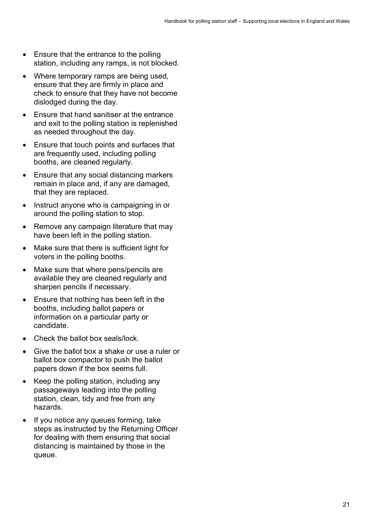- Ensure that the entrance to the polling station, including any ramps, is not blocked.
- Where temporary ramps are being used, ensure that they are firmly in place and check to ensure that they have not become dislodged during the day.
- Ensure that hand sanitiser at the entrance and exit to the polling station is replenished as needed throughout the day.
- Ensure that touch points and surfaces that are frequently used, including polling booths, are cleaned regularly.
- Ensure that any social distancing markers remain in place and, if any are damaged, that they are replaced.
- Instruct anyone who is campaigning in or around the polling station to stop.
- Remove any campaign literature that may have been left in the polling station.
- Make sure that there is sufficient light for voters in the polling booths.
- Make sure that where pens/pencils are available they are cleaned regularly and sharpen pencils if necessary.
- Ensure that nothing has been left in the booths, including ballot papers or information on a particular party or candidate.
- Check the ballot box seals/lock.
- Give the ballot box a shake or use a ruler or ballot box compactor to push the ballot papers down if the box seems full.
- Keep the polling station, including any passageways leading into the polling station, clean, tidy and free from any hazards.
- If you notice any queues forming, take steps as instructed by the Returning Officer for dealing with them ensuring that social distancing is maintained by those in the queue.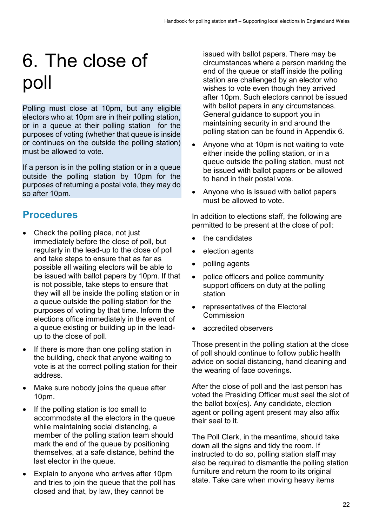## 6. The close of poll

Polling must close at 10pm, but any eligible electors who at 10pm are in their polling station, or in a queue at their polling station for the purposes of voting (whether that queue is inside or continues on the outside the polling station) must be allowed to vote.

If a person is in the polling station or in a queue outside the polling station by 10pm for the purposes of returning a postal vote, they may do so after 10pm.

## **Procedures**

- Check the polling place, not just immediately before the close of poll, but regularly in the lead-up to the close of poll and take steps to ensure that as far as possible all waiting electors will be able to be issued with ballot papers by 10pm. If that is not possible, take steps to ensure that they will all be inside the polling station or in a queue outside the polling station for the purposes of voting by that time. Inform the elections office immediately in the event of a queue existing or building up in the leadup to the close of poll.
- If there is more than one polling station in the building, check that anyone waiting to vote is at the correct polling station for their address.
- Make sure nobody joins the queue after 10pm.
- If the polling station is too small to accommodate all the electors in the queue while maintaining social distancing, a member of the polling station team should mark the end of the queue by positioning themselves, at a safe distance, behind the last elector in the queue.
- Explain to anyone who arrives after 10pm and tries to join the queue that the poll has closed and that, by law, they cannot be

issued with ballot papers. There may be circumstances where a person marking the end of the queue or staff inside the polling station are challenged by an elector who wishes to vote even though they arrived after 10pm. Such electors cannot be issued with ballot papers in any circumstances. General guidance to support you in maintaining security in and around the polling station can be found in Appendix 6.

- Anyone who at 10pm is not waiting to vote either inside the polling station, or in a queue outside the polling station, must not be issued with ballot papers or be allowed to hand in their postal vote.
- Anyone who is issued with ballot papers must be allowed to vote.

In addition to elections staff, the following are permitted to be present at the close of poll:

- the candidates
- election agents
- polling agents
- police officers and police community support officers on duty at the polling station
- representatives of the Electoral **Commission**
- accredited observers

Those present in the polling station at the close of poll should continue to follow public health advice on social distancing, hand cleaning and the wearing of face coverings.

After the close of poll and the last person has voted the Presiding Officer must seal the slot of the ballot box(es). Any candidate, election agent or polling agent present may also affix their seal to it.

The Poll Clerk, in the meantime, should take down all the signs and tidy the room. If instructed to do so, polling station staff may also be required to dismantle the polling station furniture and return the room to its original state. Take care when moving heavy items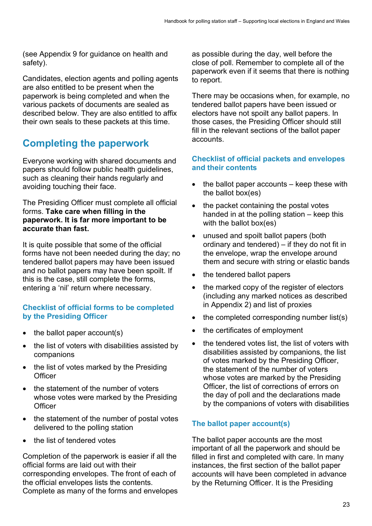(see Appendix 9 for guidance on health and safety).

Candidates, election agents and polling agents are also entitled to be present when the paperwork is being completed and when the various packets of documents are sealed as described below. They are also entitled to affix their own seals to these packets at this time.

## **Completing the paperwork**

Everyone working with shared documents and papers should follow public health guidelines, such as cleaning their hands regularly and avoiding touching their face.

The Presiding Officer must complete all official forms. **Take care when filling in the paperwork. It is far more important to be accurate than fast.**

It is quite possible that some of the official forms have not been needed during the day; no tendered ballot papers may have been issued and no ballot papers may have been spoilt. If this is the case, still complete the forms, entering a 'nil' return where necessary.

#### **Checklist of official forms to be completed by the Presiding Officer**

- the ballot paper  $account(s)$
- the list of voters with disabilities assisted by companions
- the list of votes marked by the Presiding **Officer**
- the statement of the number of voters whose votes were marked by the Presiding **Officer**
- the statement of the number of postal votes delivered to the polling station
- the list of tendered votes

Completion of the paperwork is easier if all the official forms are laid out with their corresponding envelopes. The front of each of the official envelopes lists the contents. Complete as many of the forms and envelopes as possible during the day, well before the close of poll. Remember to complete all of the paperwork even if it seems that there is nothing to report.

There may be occasions when, for example, no tendered ballot papers have been issued or electors have not spoilt any ballot papers. In those cases, the Presiding Officer should still fill in the relevant sections of the ballot paper accounts.

#### **Checklist of official packets and envelopes and their contents**

- the ballot paper accounts  $-$  keep these with the ballot box(es)
- the packet containing the postal votes handed in at the polling station – keep this with the ballot box(es)
- unused and spoilt ballot papers (both ordinary and tendered) – if they do not fit in the envelope, wrap the envelope around them and secure with string or elastic bands
- the tendered ballot papers
- the marked copy of the register of electors (including any marked notices as described in Appendix 2) and list of proxies
- the completed corresponding number list(s)
- the certificates of employment
- the tendered votes list, the list of voters with disabilities assisted by companions, the list of votes marked by the Presiding Officer, the statement of the number of voters whose votes are marked by the Presiding Officer, the list of corrections of errors on the day of poll and the declarations made by the companions of voters with disabilities

#### **The ballot paper account(s)**

The ballot paper accounts are the most important of all the paperwork and should be filled in first and completed with care. In many instances, the first section of the ballot paper accounts will have been completed in advance by the Returning Officer. It is the Presiding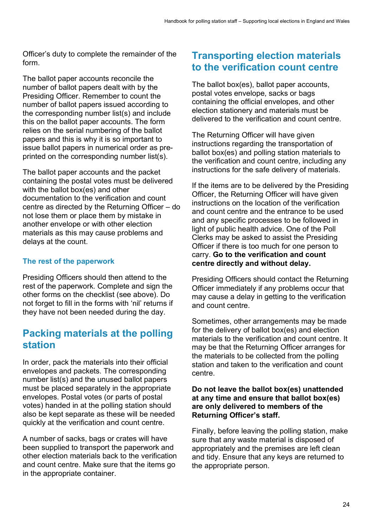Officer's duty to complete the remainder of the form.

The ballot paper accounts reconcile the number of ballot papers dealt with by the Presiding Officer. Remember to count the number of ballot papers issued according to the corresponding number list(s) and include this on the ballot paper accounts. The form relies on the serial numbering of the ballot papers and this is why it is so important to issue ballot papers in numerical order as preprinted on the corresponding number list(s).

The ballot paper accounts and the packet containing the postal votes must be delivered with the ballot box(es) and other documentation to the verification and count centre as directed by the Returning Officer – do not lose them or place them by mistake in another envelope or with other election materials as this may cause problems and delays at the count.

#### **The rest of the paperwork**

Presiding Officers should then attend to the rest of the paperwork. Complete and sign the other forms on the checklist (see above). Do not forget to fill in the forms with 'nil' returns if they have not been needed during the day.

### **Packing materials at the polling station**

In order, pack the materials into their official envelopes and packets. The corresponding number list(s) and the unused ballot papers must be placed separately in the appropriate envelopes. Postal votes (or parts of postal votes) handed in at the polling station should also be kept separate as these will be needed quickly at the verification and count centre.

A number of sacks, bags or crates will have been supplied to transport the paperwork and other election materials back to the verification and count centre. Make sure that the items go in the appropriate container.

## **Transporting election materials to the verification count centre**

The ballot box(es), ballot paper accounts, postal votes envelope, sacks or bags containing the official envelopes, and other election stationery and materials must be delivered to the verification and count centre.

The Returning Officer will have given instructions regarding the transportation of ballot box(es) and polling station materials to the verification and count centre, including any instructions for the safe delivery of materials.

If the items are to be delivered by the Presiding Officer, the Returning Officer will have given instructions on the location of the verification and count centre and the entrance to be used and any specific processes to be followed in light of public health advice. One of the Poll Clerks may be asked to assist the Presiding Officer if there is too much for one person to carry. **Go to the verification and count centre directly and without delay.**

Presiding Officers should contact the Returning Officer immediately if any problems occur that may cause a delay in getting to the verification and count centre.

Sometimes, other arrangements may be made for the delivery of ballot box(es) and election materials to the verification and count centre. It may be that the Returning Officer arranges for the materials to be collected from the polling station and taken to the verification and count centre.

#### **Do not leave the ballot box(es) unattended at any time and ensure that ballot box(es) are only delivered to members of the Returning Officer's staff.**

Finally, before leaving the polling station, make sure that any waste material is disposed of appropriately and the premises are left clean and tidy. Ensure that any keys are returned to the appropriate person.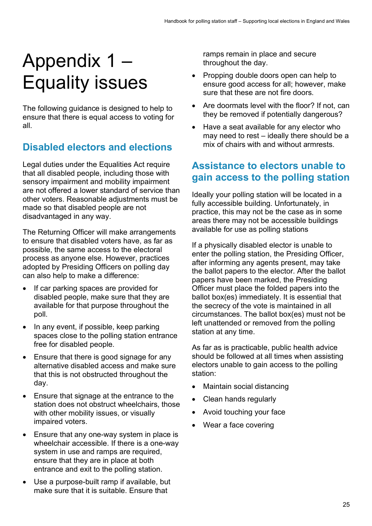## Appendix 1 – Equality issues

The following guidance is designed to help to ensure that there is equal access to voting for all.

## **Disabled electors and elections**

Legal duties under the Equalities Act require that all disabled people, including those with sensory impairment and mobility impairment are not offered a lower standard of service than other voters. Reasonable adjustments must be made so that disabled people are not disadvantaged in any way.

The Returning Officer will make arrangements to ensure that disabled voters have, as far as possible, the same access to the electoral process as anyone else. However, practices adopted by Presiding Officers on polling day can also help to make a difference:

- If car parking spaces are provided for disabled people, make sure that they are available for that purpose throughout the poll.
- In any event, if possible, keep parking spaces close to the polling station entrance free for disabled people.
- Ensure that there is good signage for any alternative disabled access and make sure that this is not obstructed throughout the day.
- Ensure that signage at the entrance to the station does not obstruct wheelchairs, those with other mobility issues, or visually impaired voters.
- Ensure that any one-way system in place is wheelchair accessible. If there is a one-way system in use and ramps are required, ensure that they are in place at both entrance and exit to the polling station.
- Use a purpose-built ramp if available, but make sure that it is suitable. Ensure that

ramps remain in place and secure throughout the day.

- Propping double doors open can help to ensure good access for all; however, make sure that these are not fire doors.
- Are doormats level with the floor? If not, can they be removed if potentially dangerous?
- Have a seat available for any elector who may need to rest – ideally there should be a mix of chairs with and without armrests.

## **Assistance to electors unable to gain access to the polling station**

Ideally your polling station will be located in a fully accessible building. Unfortunately, in practice, this may not be the case as in some areas there may not be accessible buildings available for use as polling stations

If a physically disabled elector is unable to enter the polling station, the Presiding Officer, after informing any agents present, may take the ballot papers to the elector. After the ballot papers have been marked, the Presiding Officer must place the folded papers into the ballot box(es) immediately. It is essential that the secrecy of the vote is maintained in all circumstances. The ballot box(es) must not be left unattended or removed from the polling station at any time.

As far as is practicable, public health advice should be followed at all times when assisting electors unable to gain access to the polling station:

- Maintain social distancing
- Clean hands regularly
- Avoid touching your face
- Wear a face covering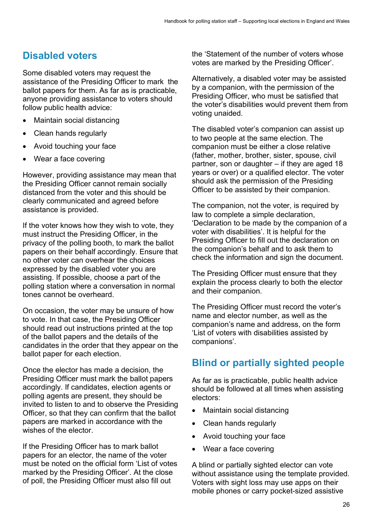## **Disabled voters**

Some disabled voters may request the assistance of the Presiding Officer to mark the ballot papers for them. As far as is practicable, anyone providing assistance to voters should follow public health advice:

- Maintain social distancing
- Clean hands regularly
- Avoid touching your face
- Wear a face covering

However, providing assistance may mean that the Presiding Officer cannot remain socially distanced from the voter and this should be clearly communicated and agreed before assistance is provided.

If the voter knows how they wish to vote, they must instruct the Presiding Officer, in the privacy of the polling booth, to mark the ballot papers on their behalf accordingly. Ensure that no other voter can overhear the choices expressed by the disabled voter you are assisting. If possible, choose a part of the polling station where a conversation in normal tones cannot be overheard.

On occasion, the voter may be unsure of how to vote. In that case, the Presiding Officer should read out instructions printed at the top of the ballot papers and the details of the candidates in the order that they appear on the ballot paper for each election.

Once the elector has made a decision, the Presiding Officer must mark the ballot papers accordingly. If candidates, election agents or polling agents are present, they should be invited to listen to and to observe the Presiding Officer, so that they can confirm that the ballot papers are marked in accordance with the wishes of the elector

If the Presiding Officer has to mark ballot papers for an elector, the name of the voter must be noted on the official form 'List of votes marked by the Presiding Officer'. At the close of poll, the Presiding Officer must also fill out

the 'Statement of the number of voters whose votes are marked by the Presiding Officer'.

Alternatively, a disabled voter may be assisted by a companion, with the permission of the Presiding Officer, who must be satisfied that the voter's disabilities would prevent them from voting unaided.

The disabled voter's companion can assist up to two people at the same election. The companion must be either a close relative (father, mother, brother, sister, spouse, civil partner, son or daughter – if they are aged 18 years or over) or a qualified elector. The voter should ask the permission of the Presiding Officer to be assisted by their companion.

The companion, not the voter, is required by law to complete a simple declaration, 'Declaration to be made by the companion of a voter with disabilities'. It is helpful for the Presiding Officer to fill out the declaration on the companion's behalf and to ask them to check the information and sign the document.

The Presiding Officer must ensure that they explain the process clearly to both the elector and their companion.

The Presiding Officer must record the voter's name and elector number, as well as the companion's name and address, on the form 'List of voters with disabilities assisted by companions'.

## **Blind or partially sighted people**

As far as is practicable, public health advice should be followed at all times when assisting electors:

- Maintain social distancing
- Clean hands regularly
- Avoid touching your face
- Wear a face covering

A blind or partially sighted elector can vote without assistance using the template provided. Voters with sight loss may use apps on their mobile phones or carry pocket-sized assistive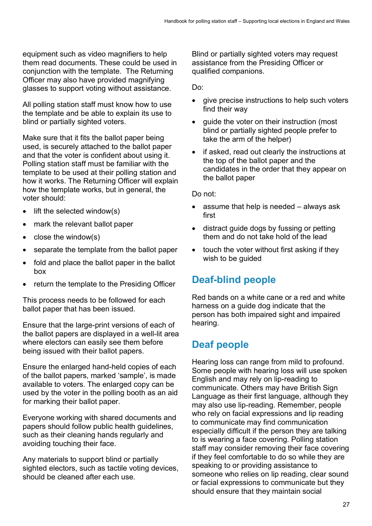equipment such as video magnifiers to help them read documents. These could be used in conjunction with the template. The Returning Officer may also have provided magnifying glasses to support voting without assistance.

All polling station staff must know how to use the template and be able to explain its use to blind or partially sighted voters.

Make sure that it fits the ballot paper being used, is securely attached to the ballot paper and that the voter is confident about using it. Polling station staff must be familiar with the template to be used at their polling station and how it works. The Returning Officer will explain how the template works, but in general, the voter should:

- lift the selected window(s)
- mark the relevant ballot paper
- close the window(s)
- separate the template from the ballot paper
- fold and place the ballot paper in the ballot box
- return the template to the Presiding Officer

This process needs to be followed for each ballot paper that has been issued.

Ensure that the large-print versions of each of the ballot papers are displayed in a well-lit area where electors can easily see them before being issued with their ballot papers.

Ensure the enlarged hand-held copies of each of the ballot papers, marked 'sample', is made available to voters. The enlarged copy can be used by the voter in the polling booth as an aid for marking their ballot paper.

Everyone working with shared documents and papers should follow public health guidelines, such as their cleaning hands regularly and avoiding touching their face.

Any materials to support blind or partially sighted electors, such as tactile voting devices, should be cleaned after each use.

Blind or partially sighted voters may request assistance from the Presiding Officer or qualified companions.

Do:

- give precise instructions to help such voters find their way
- guide the voter on their instruction (most blind or partially sighted people prefer to take the arm of the helper)
- if asked, read out clearly the instructions at the top of the ballot paper and the candidates in the order that they appear on the ballot paper

Do not:

- assume that help is needed always ask first
- distract guide dogs by fussing or petting them and do not take hold of the lead
- touch the voter without first asking if they wish to be quided

## **Deaf-blind people**

Red bands on a white cane or a red and white harness on a guide dog indicate that the person has both impaired sight and impaired hearing.

## **Deaf people**

Hearing loss can range from mild to profound. Some people with hearing loss will use spoken English and may rely on lip-reading to communicate. Others may have British Sign Language as their first language, although they may also use lip-reading. Remember, people who rely on facial expressions and lip reading to communicate may find communication especially difficult if the person they are talking to is wearing a face covering. Polling station staff may consider removing their face covering if they feel comfortable to do so while they are speaking to or providing assistance to someone who relies on lip reading, clear sound or facial expressions to communicate but they should ensure that they maintain social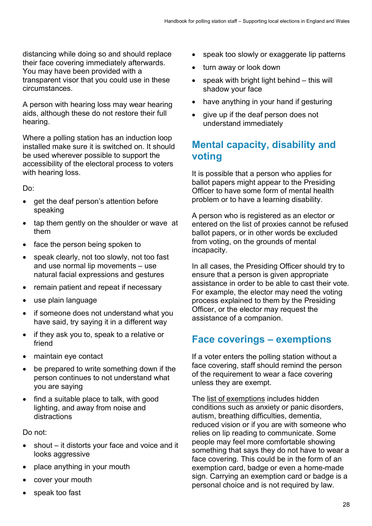distancing while doing so and should replace their face covering immediately afterwards. You may have been provided with a transparent visor that you could use in these circumstances.

A person with hearing loss may wear hearing aids, although these do not restore their full hearing.

Where a polling station has an induction loop installed make sure it is switched on. It should be used wherever possible to support the accessibility of the electoral process to voters with hearing loss.

Do:

- get the deaf person's attention before speaking
- tap them gently on the shoulder or wave at them
- face the person being spoken to
- speak clearly, not too slowly, not too fast and use normal lip movements – use natural facial expressions and gestures
- remain patient and repeat if necessary
- use plain language
- if someone does not understand what you have said, try saying it in a different way
- if they ask you to, speak to a relative or friend
- maintain eye contact
- be prepared to write something down if the person continues to not understand what you are saying
- find a suitable place to talk, with good lighting, and away from noise and distractions

Do not:

- shout  $-$  it distorts your face and voice and it looks aggressive
- place anything in your mouth
- cover your mouth
- speak too fast
- speak too slowly or exaggerate lip patterns
- turn away or look down
- speak with bright light behind this will shadow your face
- have anything in your hand if gesturing
- give up if the deaf person does not understand immediately

## **Mental capacity, disability and voting**

It is possible that a person who applies for ballot papers might appear to the Presiding Officer to have some form of mental health problem or to have a learning disability.

A person who is registered as an elector or entered on the list of proxies cannot be refused ballot papers, or in other words be excluded from voting, on the grounds of mental incapacity.

In all cases, the Presiding Officer should try to ensure that a person is given appropriate assistance in order to be able to cast their vote. For example, the elector may need the voting process explained to them by the Presiding Officer, or the elector may request the assistance of a companion.

## **Face coverings – exemptions**

If a voter enters the polling station without a face covering, staff should remind the person of the requirement to wear a face covering unless they are exempt.

The [list of exemptions](https://www.gov.uk/government/publications/face-coverings-when-to-wear-one-and-how-to-make-your-own/face-coverings-when-to-wear-one-and-how-to-make-your-own) includes hidden conditions such as anxiety or panic disorders, autism, breathing difficulties, dementia, reduced vision or if you are with someone who relies on lip reading to communicate. Some people may feel more comfortable showing something that says they do not have to wear a face covering. This could be in the form of an exemption card, badge or even a home-made sign. Carrying an exemption card or badge is a personal choice and is not required by law.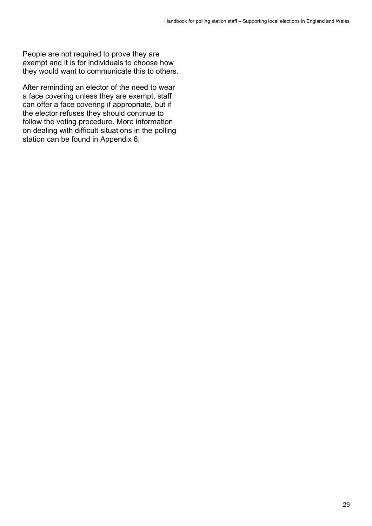People are not required to prove they are exempt and it is for individuals to choose how they would want to communicate this to others.

After reminding an elector of the need to wear a face covering unless they are exempt, staff can offer a face covering if appropriate, but if the elector refuses they should continue to follow the voting procedure. More information on dealing with difficult situations in the polling station can be found in Appendix 6.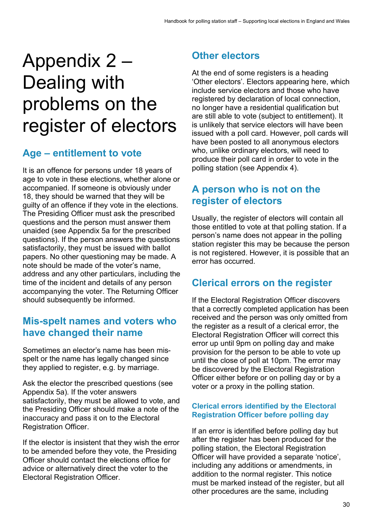## Appendix 2 – Dealing with problems on the register of electors

## **Age – entitlement to vote**

It is an offence for persons under 18 years of age to vote in these elections, whether alone or accompanied. If someone is obviously under 18, they should be warned that they will be guilty of an offence if they vote in the elections. The Presiding Officer must ask the prescribed questions and the person must answer them unaided (see Appendix 5a for the prescribed questions). If the person answers the questions satisfactorily, they must be issued with ballot papers. No other questioning may be made. A note should be made of the voter's name, address and any other particulars, including the time of the incident and details of any person accompanying the voter. The Returning Officer should subsequently be informed.

## **Mis-spelt names and voters who have changed their name**

Sometimes an elector's name has been misspelt or the name has legally changed since they applied to register, e.g. by marriage.

Ask the elector the prescribed questions (see Appendix 5a). If the voter answers satisfactorily, they must be allowed to vote, and the Presiding Officer should make a note of the inaccuracy and pass it on to the Electoral Registration Officer.

If the elector is insistent that they wish the error to be amended before they vote, the Presiding Officer should contact the elections office for advice or alternatively direct the voter to the Electoral Registration Officer.

## **Other electors**

At the end of some registers is a heading 'Other electors'. Electors appearing here, which include service electors and those who have registered by declaration of local connection, no longer have a residential qualification but are still able to vote (subject to entitlement). It is unlikely that service electors will have been issued with a poll card. However, poll cards will have been posted to all anonymous electors who, unlike ordinary electors, will need to produce their poll card in order to vote in the polling station (see Appendix 4).

## **A person who is not on the register of electors**

Usually, the register of electors will contain all those entitled to vote at that polling station. If a person's name does not appear in the polling station register this may be because the person is not registered. However, it is possible that an error has occurred.

## **Clerical errors on the register**

If the Electoral Registration Officer discovers that a correctly completed application has been received and the person was only omitted from the register as a result of a clerical error, the Electoral Registration Officer will correct this error up until 9pm on polling day and make provision for the person to be able to vote up until the close of poll at 10pm. The error may be discovered by the Electoral Registration Officer either before or on polling day or by a voter or a proxy in the polling station.

#### **Clerical errors identified by the Electoral Registration Officer before polling day**

If an error is identified before polling day but after the register has been produced for the polling station, the Electoral Registration Officer will have provided a separate 'notice', including any additions or amendments, in addition to the normal register. This notice must be marked instead of the register, but all other procedures are the same, including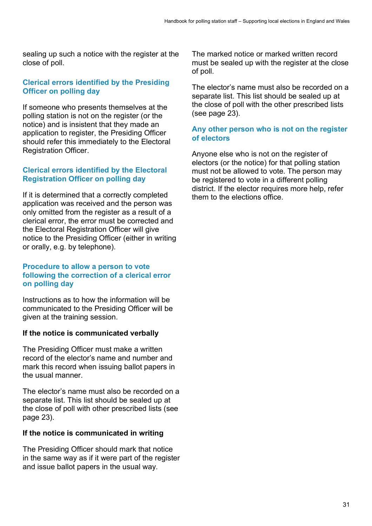sealing up such a notice with the register at the close of poll.

#### **Clerical errors identified by the Presiding Officer on polling day**

If someone who presents themselves at the polling station is not on the register (or the notice) and is insistent that they made an application to register, the Presiding Officer should refer this immediately to the Electoral Registration Officer.

#### **Clerical errors identified by the Electoral Registration Officer on polling day**

If it is determined that a correctly completed application was received and the person was only omitted from the register as a result of a clerical error, the error must be corrected and the Electoral Registration Officer will give notice to the Presiding Officer (either in writing or orally, e.g. by telephone).

#### **Procedure to allow a person to vote following the correction of a clerical error on polling day**

Instructions as to how the information will be communicated to the Presiding Officer will be given at the training session.

#### **If the notice is communicated verbally**

The Presiding Officer must make a written record of the elector's name and number and mark this record when issuing ballot papers in the usual manner.

The elector's name must also be recorded on a separate list. This list should be sealed up at the close of poll with other prescribed lists (see page 23).

#### **If the notice is communicated in writing**

The Presiding Officer should mark that notice in the same way as if it were part of the register and issue ballot papers in the usual way.

The marked notice or marked written record must be sealed up with the register at the close of poll.

The elector's name must also be recorded on a separate list. This list should be sealed up at the close of poll with the other prescribed lists (see page 23).

#### **Any other person who is not on the register of electors**

Anyone else who is not on the register of electors (or the notice) for that polling station must not be allowed to vote. The person may be registered to vote in a different polling district. If the elector requires more help, refer them to the elections office.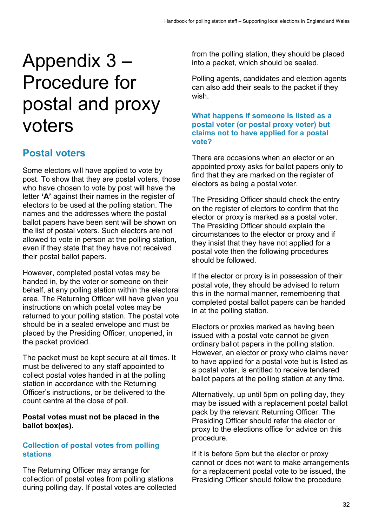## Appendix 3 – Procedure for postal and proxy voters

## **Postal voters**

Some electors will have applied to vote by post. To show that they are postal voters, those who have chosen to vote by post will have the letter **'A'** against their names in the register of electors to be used at the polling station. The names and the addresses where the postal ballot papers have been sent will be shown on the list of postal voters. Such electors are not allowed to vote in person at the polling station, even if they state that they have not received their postal ballot papers.

However, completed postal votes may be handed in, by the voter or someone on their behalf, at any polling station within the electoral area. The Returning Officer will have given you instructions on which postal votes may be returned to your polling station. The postal vote should be in a sealed envelope and must be placed by the Presiding Officer, unopened, in the packet provided.

The packet must be kept secure at all times. It must be delivered to any staff appointed to collect postal votes handed in at the polling station in accordance with the Returning Officer's instructions, or be delivered to the count centre at the close of poll.

#### **Postal votes must not be placed in the ballot box(es).**

#### **Collection of postal votes from polling stations**

The Returning Officer may arrange for collection of postal votes from polling stations during polling day. If postal votes are collected from the polling station, they should be placed into a packet, which should be sealed.

Polling agents, candidates and election agents can also add their seals to the packet if they wish.

#### **What happens if someone is listed as a postal voter (or postal proxy voter) but claims not to have applied for a postal vote?**

There are occasions when an elector or an appointed proxy asks for ballot papers only to find that they are marked on the register of electors as being a postal voter.

The Presiding Officer should check the entry on the register of electors to confirm that the elector or proxy is marked as a postal voter. The Presiding Officer should explain the circumstances to the elector or proxy and if they insist that they have not applied for a postal vote then the following procedures should be followed.

If the elector or proxy is in possession of their postal vote, they should be advised to return this in the normal manner, remembering that completed postal ballot papers can be handed in at the polling station.

Electors or proxies marked as having been issued with a postal vote cannot be given ordinary ballot papers in the polling station. However, an elector or proxy who claims never to have applied for a postal vote but is listed as a postal voter, is entitled to receive tendered ballot papers at the polling station at any time.

Alternatively, up until 5pm on polling day, they may be issued with a replacement postal ballot pack by the relevant Returning Officer. The Presiding Officer should refer the elector or proxy to the elections office for advice on this procedure.

If it is before 5pm but the elector or proxy cannot or does not want to make arrangements for a replacement postal vote to be issued, the Presiding Officer should follow the procedure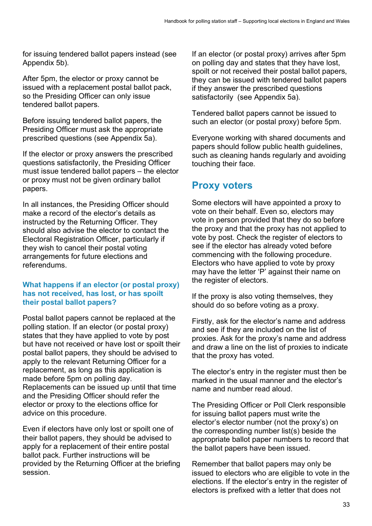for issuing tendered ballot papers instead (see Appendix 5b).

After 5pm, the elector or proxy cannot be issued with a replacement postal ballot pack, so the Presiding Officer can only issue tendered ballot papers.

Before issuing tendered ballot papers, the Presiding Officer must ask the appropriate prescribed questions (see Appendix 5a).

If the elector or proxy answers the prescribed questions satisfactorily, the Presiding Officer must issue tendered ballot papers – the elector or proxy must not be given ordinary ballot papers.

In all instances, the Presiding Officer should make a record of the elector's details as instructed by the Returning Officer. They should also advise the elector to contact the Electoral Registration Officer, particularly if they wish to cancel their postal voting arrangements for future elections and referendums.

#### **What happens if an elector (or postal proxy) has not received, has lost, or has spoilt their postal ballot papers?**

Postal ballot papers cannot be replaced at the polling station. If an elector (or postal proxy) states that they have applied to vote by post but have not received or have lost or spoilt their postal ballot papers, they should be advised to apply to the relevant Returning Officer for a replacement, as long as this application is made before 5pm on polling day. Replacements can be issued up until that time and the Presiding Officer should refer the elector or proxy to the elections office for advice on this procedure.

Even if electors have only lost or spoilt one of their ballot papers, they should be advised to apply for a replacement of their entire postal ballot pack. Further instructions will be provided by the Returning Officer at the briefing session.

If an elector (or postal proxy) arrives after 5pm on polling day and states that they have lost, spoilt or not received their postal ballot papers, they can be issued with tendered ballot papers if they answer the prescribed questions satisfactorily (see Appendix 5a).

Tendered ballot papers cannot be issued to such an elector (or postal proxy) before 5pm.

Everyone working with shared documents and papers should follow public health guidelines, such as cleaning hands regularly and avoiding touching their face.

### **Proxy voters**

Some electors will have appointed a proxy to vote on their behalf. Even so, electors may vote in person provided that they do so before the proxy and that the proxy has not applied to vote by post. Check the register of electors to see if the elector has already voted before commencing with the following procedure. Electors who have applied to vote by proxy may have the letter 'P' against their name on the register of electors.

If the proxy is also voting themselves, they should do so before voting as a proxy.

Firstly, ask for the elector's name and address and see if they are included on the list of proxies. Ask for the proxy's name and address and draw a line on the list of proxies to indicate that the proxy has voted.

The elector's entry in the register must then be marked in the usual manner and the elector's name and number read aloud.

The Presiding Officer or Poll Clerk responsible for issuing ballot papers must write the elector's elector number (not the proxy's) on the corresponding number list(s) beside the appropriate ballot paper numbers to record that the ballot papers have been issued.

Remember that ballot papers may only be issued to electors who are eligible to vote in the elections. If the elector's entry in the register of electors is prefixed with a letter that does not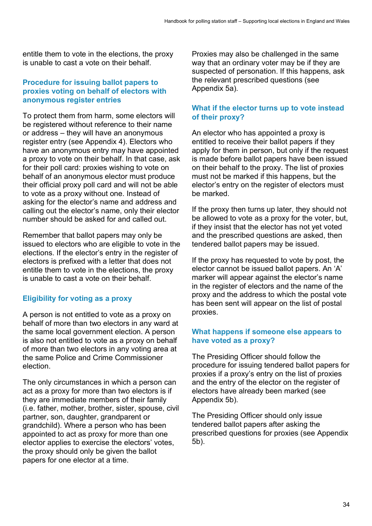entitle them to vote in the elections, the proxy is unable to cast a vote on their behalf.

#### **Procedure for issuing ballot papers to proxies voting on behalf of electors with anonymous register entries**

To protect them from harm, some electors will be registered without reference to their name or address – they will have an anonymous register entry (see Appendix 4). Electors who have an anonymous entry may have appointed a proxy to vote on their behalf. In that case, ask for their poll card: proxies wishing to vote on behalf of an anonymous elector must produce their official proxy poll card and will not be able to vote as a proxy without one. Instead of asking for the elector's name and address and calling out the elector's name, only their elector number should be asked for and called out.

Remember that ballot papers may only be issued to electors who are eligible to vote in the elections. If the elector's entry in the register of electors is prefixed with a letter that does not entitle them to vote in the elections, the proxy is unable to cast a vote on their behalf.

#### **Eligibility for voting as a proxy**

A person is not entitled to vote as a proxy on behalf of more than two electors in any ward at the same local government election. A person is also not entitled to vote as a proxy on behalf of more than two electors in any voting area at the same Police and Crime Commissioner election.

The only circumstances in which a person can act as a proxy for more than two electors is if they are immediate members of their family (i.e. father, mother, brother, sister, spouse, civil partner, son, daughter, grandparent or grandchild). Where a person who has been appointed to act as proxy for more than one elector applies to exercise the electors' votes, the proxy should only be given the ballot papers for one elector at a time.

Proxies may also be challenged in the same way that an ordinary voter may be if they are suspected of personation. If this happens, ask the relevant prescribed questions (see Appendix 5a).

#### **What if the elector turns up to vote instead of their proxy?**

An elector who has appointed a proxy is entitled to receive their ballot papers if they apply for them in person, but only if the request is made before ballot papers have been issued on their behalf to the proxy. The list of proxies must not be marked if this happens, but the elector's entry on the register of electors must be marked.

If the proxy then turns up later, they should not be allowed to vote as a proxy for the voter, but, if they insist that the elector has not yet voted and the prescribed questions are asked, then tendered ballot papers may be issued.

If the proxy has requested to vote by post, the elector cannot be issued ballot papers. An 'A' marker will appear against the elector's name in the register of electors and the name of the proxy and the address to which the postal vote has been sent will appear on the list of postal proxies.

#### **What happens if someone else appears to have voted as a proxy?**

The Presiding Officer should follow the procedure for issuing tendered ballot papers for proxies if a proxy's entry on the list of proxies and the entry of the elector on the register of electors have already been marked (see Appendix 5b).

The Presiding Officer should only issue tendered ballot papers after asking the prescribed questions for proxies (see Appendix 5b).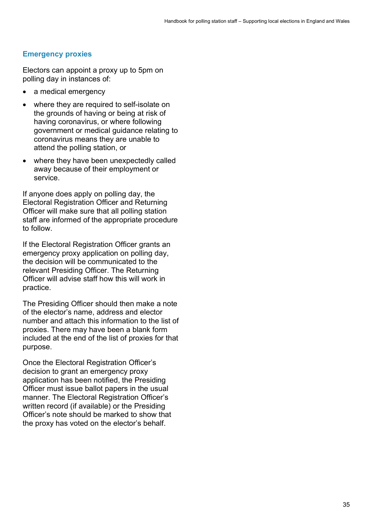#### **Emergency proxies**

Electors can appoint a proxy up to 5pm on polling day in instances of:

- a medical emergency
- where they are required to self-isolate on the grounds of having or being at risk of having coronavirus, or where following government or medical guidance relating to coronavirus means they are unable to attend the polling station, or
- where they have been unexpectedly called away because of their employment or service.

If anyone does apply on polling day, the Electoral Registration Officer and Returning Officer will make sure that all polling station staff are informed of the appropriate procedure to follow.

If the Electoral Registration Officer grants an emergency proxy application on polling day, the decision will be communicated to the relevant Presiding Officer. The Returning Officer will advise staff how this will work in practice.

The Presiding Officer should then make a note of the elector's name, address and elector number and attach this information to the list of proxies. There may have been a blank form included at the end of the list of proxies for that purpose.

Once the Electoral Registration Officer's decision to grant an emergency proxy application has been notified, the Presiding Officer must issue ballot papers in the usual manner. The Electoral Registration Officer's written record (if available) or the Presiding Officer's note should be marked to show that the proxy has voted on the elector's behalf.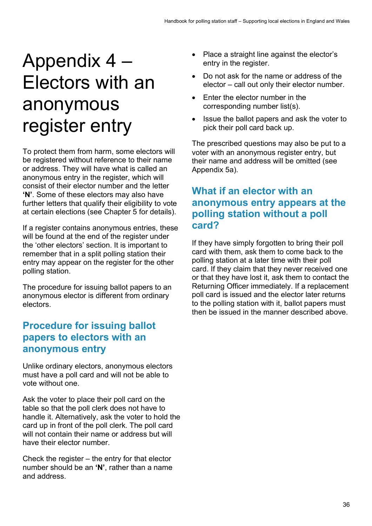## Appendix 4 – Electors with an anonymous register entry

To protect them from harm, some electors will be registered without reference to their name or address. They will have what is called an anonymous entry in the register, which will consist of their elector number and the letter **'N'**. Some of these electors may also have further letters that qualify their eligibility to vote at certain elections (see Chapter 5 for details).

If a register contains anonymous entries, these will be found at the end of the register under the 'other electors' section. It is important to remember that in a split polling station their entry may appear on the register for the other polling station.

The procedure for issuing ballot papers to an anonymous elector is different from ordinary electors.

## **Procedure for issuing ballot papers to electors with an anonymous entry**

Unlike ordinary electors, anonymous electors must have a poll card and will not be able to vote without one.

Ask the voter to place their poll card on the table so that the poll clerk does not have to handle it. Alternatively, ask the voter to hold the card up in front of the poll clerk. The poll card will not contain their name or address but will have their elector number.

Check the register – the entry for that elector number should be an **'N'**, rather than a name and address.

- Place a straight line against the elector's entry in the register.
- Do not ask for the name or address of the elector – call out only their elector number.
- Enter the elector number in the corresponding number list(s).
- Issue the ballot papers and ask the voter to pick their poll card back up.

The prescribed questions may also be put to a voter with an anonymous register entry, but their name and address will be omitted (see Appendix 5a).

### **What if an elector with an anonymous entry appears at the polling station without a poll card?**

If they have simply forgotten to bring their poll card with them, ask them to come back to the polling station at a later time with their poll card. If they claim that they never received one or that they have lost it, ask them to contact the Returning Officer immediately. If a replacement poll card is issued and the elector later returns to the polling station with it, ballot papers must then be issued in the manner described above.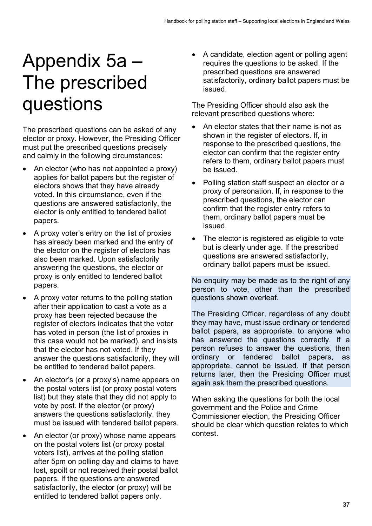## Appendix 5a – The prescribed questions

The prescribed questions can be asked of any elector or proxy. However, the Presiding Officer must put the prescribed questions precisely and calmly in the following circumstances:

- An elector (who has not appointed a proxy) applies for ballot papers but the register of electors shows that they have already voted. In this circumstance, even if the questions are answered satisfactorily, the elector is only entitled to tendered ballot papers.
- A proxy voter's entry on the list of proxies has already been marked and the entry of the elector on the register of electors has also been marked. Upon satisfactorily answering the questions, the elector or proxy is only entitled to tendered ballot papers.
- A proxy voter returns to the polling station after their application to cast a vote as a proxy has been rejected because the register of electors indicates that the voter has voted in person (the list of proxies in this case would not be marked), and insists that the elector has not voted. If they answer the questions satisfactorily, they will be entitled to tendered ballot papers.
- An elector's (or a proxy's) name appears on the postal voters list (or proxy postal voters list) but they state that they did not apply to vote by post. If the elector (or proxy) answers the questions satisfactorily, they must be issued with tendered ballot papers.
- An elector (or proxy) whose name appears on the postal voters list (or proxy postal voters list), arrives at the polling station after 5pm on polling day and claims to have lost, spoilt or not received their postal ballot papers. If the questions are answered satisfactorily, the elector (or proxy) will be entitled to tendered ballot papers only.

• A candidate, election agent or polling agent requires the questions to be asked. If the prescribed questions are answered satisfactorily, ordinary ballot papers must be issued.

The Presiding Officer should also ask the relevant prescribed questions where:

- An elector states that their name is not as shown in the register of electors. If, in response to the prescribed questions, the elector can confirm that the register entry refers to them, ordinary ballot papers must be issued.
- Polling station staff suspect an elector or a proxy of personation. If, in response to the prescribed questions, the elector can confirm that the register entry refers to them, ordinary ballot papers must be issued.
- The elector is registered as eligible to vote but is clearly under age. If the prescribed questions are answered satisfactorily, ordinary ballot papers must be issued.

No enquiry may be made as to the right of any person to vote, other than the prescribed questions shown overleaf.

The Presiding Officer, regardless of any doubt they may have, must issue ordinary or tendered ballot papers, as appropriate, to anyone who has answered the questions correctly. If a person refuses to answer the questions, then ordinary or tendered ballot papers, as appropriate, cannot be issued. If that person returns later, then the Presiding Officer must again ask them the prescribed questions.

When asking the questions for both the local government and the Police and Crime Commissioner election, the Presiding Officer should be clear which question relates to which contest.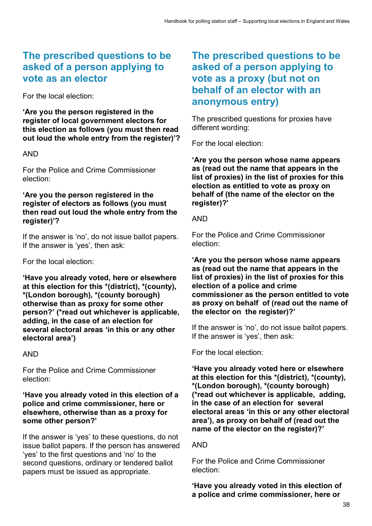## **The prescribed questions to be asked of a person applying to vote as an elector**

For the local election:

**'Are you the person registered in the register of local government electors for this election as follows (you must then read out loud the whole entry from the register)'?**

#### AND

For the Police and Crime Commissioner election:

#### **'Are you the person registered in the register of electors as follows (you must then read out loud the whole entry from the register)'?**

If the answer is 'no', do not issue ballot papers. If the answer is 'yes', then ask:

For the local election:

**'Have you already voted, here or elsewhere at this election for this \*(district), \*(county), \*(London borough), \*(county borough) otherwise than as proxy for some other person?' (\*read out whichever is applicable, adding, in the case of an election for several electoral areas 'in this or any other electoral area')**

AND

For the Police and Crime Commissioner election:

#### **'Have you already voted in this election of a police and crime commissioner, here or elsewhere, otherwise than as a proxy for some other person?'**

If the answer is 'yes' to these questions, do not issue ballot papers. If the person has answered 'yes' to the first questions and 'no' to the second questions, ordinary or tendered ballot papers must be issued as appropriate.

### **The prescribed questions to be asked of a person applying to vote as a proxy (but not on behalf of an elector with an anonymous entry)**

The prescribed questions for proxies have different wording:

For the local election:

**'Are you the person whose name appears as (read out the name that appears in the list of proxies) in the list of proxies for this election as entitled to vote as proxy on behalf of (the name of the elector on the register)?'** 

#### AND

For the Police and Crime Commissioner election:

#### **'Are you the person whose name appears as (read out the name that appears in the list of proxies) in the list of proxies for this election of a police and crime commissioner as the person entitled to vote as proxy on behalf of (read out the name of the elector on the register)?'**

If the answer is 'no', do not issue ballot papers. If the answer is 'yes', then ask:

For the local election:

**'Have you already voted here or elsewhere at this election for this \*(district), \*(county), \*(London borough), \*(county borough) (\*read out whichever is applicable, adding, in the case of an election for several electoral areas 'in this or any other electoral area'), as proxy on behalf of (read out the name of the elector on the register)?'**

#### AND

For the Police and Crime Commissioner election:

**'Have you already voted in this election of a police and crime commissioner, here or**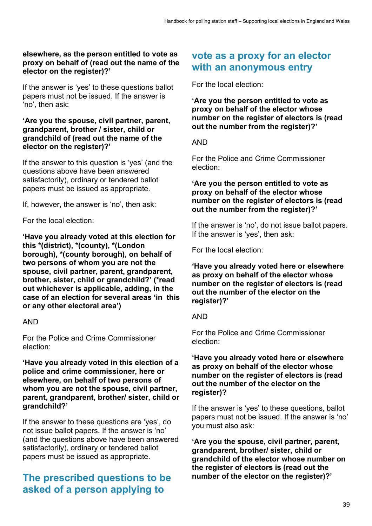#### **elsewhere, as the person entitled to vote as proxy on behalf of (read out the name of the elector on the register)?'**

If the answer is 'yes' to these questions ballot papers must not be issued. If the answer is 'no', then ask:

#### **'Are you the spouse, civil partner, parent, grandparent, brother / sister, child or grandchild of (read out the name of the elector on the register)?'**

If the answer to this question is 'yes' (and the questions above have been answered satisfactorily), ordinary or tendered ballot papers must be issued as appropriate.

If, however, the answer is 'no', then ask:

For the local election:

**'Have you already voted at this election for this \*(district), \*(county), \*(London borough), \*(county borough), on behalf of two persons of whom you are not the spouse, civil partner, parent, grandparent, brother, sister, child or grandchild?' (\*read out whichever is applicable, adding, in the case of an election for several areas 'in this or any other electoral area')**

#### AND

For the Police and Crime Commissioner election:

**'Have you already voted in this election of a police and crime commissioner, here or elsewhere, on behalf of two persons of whom you are not the spouse, civil partner, parent, grandparent, brother/ sister, child or grandchild?'**

If the answer to these questions are 'yes', do not issue ballot papers. If the answer is 'no' (and the questions above have been answered satisfactorily), ordinary or tendered ballot papers must be issued as appropriate.

### **The prescribed questions to be asked of a person applying to**

### **vote as a proxy for an elector with an anonymous entry**

For the local election:

**'Are you the person entitled to vote as proxy on behalf of the elector whose number on the register of electors is (read out the number from the register)?'**

#### AND

For the Police and Crime Commissioner election:

#### **'Are you the person entitled to vote as proxy on behalf of the elector whose number on the register of electors is (read out the number from the register)?'**

If the answer is 'no', do not issue ballot papers. If the answer is 'yes', then ask:

For the local election:

**'Have you already voted here or elsewhere as proxy on behalf of the elector whose number on the register of electors is (read out the number of the elector on the register)?'**

#### AND

For the Police and Crime Commissioner election:

#### **'Have you already voted here or elsewhere as proxy on behalf of the elector whose number on the register of electors is (read out the number of the elector on the register)?**

If the answer is 'yes' to these questions, ballot papers must not be issued. If the answer is 'no' you must also ask:

**'Are you the spouse, civil partner, parent, grandparent, brother/ sister, child or grandchild of the elector whose number on the register of electors is (read out the number of the elector on the register)?'**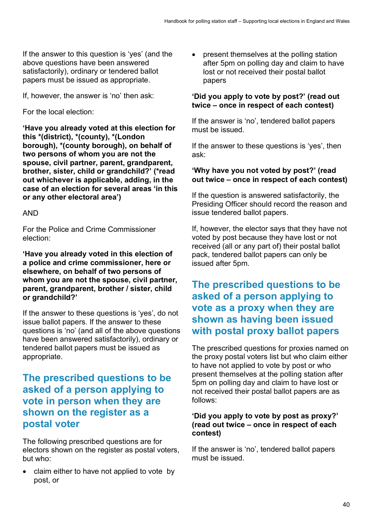If the answer to this question is 'yes' (and the above questions have been answered satisfactorily), ordinary or tendered ballot papers must be issued as appropriate.

If, however, the answer is 'no' then ask:

For the local election:

**'Have you already voted at this election for this \*(district), \*(county), \*(London borough), \*(county borough), on behalf of two persons of whom you are not the spouse, civil partner, parent, grandparent, brother, sister, child or grandchild?' (\*read out whichever is applicable, adding, in the case of an election for several areas 'in this or any other electoral area')**

AND

For the Police and Crime Commissioner election:

**'Have you already voted in this election of a police and crime commissioner, here or elsewhere, on behalf of two persons of whom you are not the spouse, civil partner, parent, grandparent, brother / sister, child or grandchild?'**

If the answer to these questions is 'yes', do not issue ballot papers. If the answer to these questions is 'no' (and all of the above questions have been answered satisfactorily), ordinary or tendered ballot papers must be issued as appropriate.

### **The prescribed questions to be asked of a person applying to vote in person when they are shown on the register as a postal voter**

The following prescribed questions are for electors shown on the register as postal voters, but who:

• claim either to have not applied to vote by post, or

• present themselves at the polling station after 5pm on polling day and claim to have lost or not received their postal ballot papers

#### **'Did you apply to vote by post?' (read out twice – once in respect of each contest)**

If the answer is 'no', tendered ballot papers must be issued.

If the answer to these questions is 'yes', then ask:

#### **'Why have you not voted by post?' (read out twice – once in respect of each contest)**

If the question is answered satisfactorily, the Presiding Officer should record the reason and issue tendered ballot papers.

If, however, the elector says that they have not voted by post because they have lost or not received (all or any part of) their postal ballot pack, tendered ballot papers can only be issued after 5pm.

## **The prescribed questions to be asked of a person applying to vote as a proxy when they are shown as having been issued with postal proxy ballot papers**

The prescribed questions for proxies named on the proxy postal voters list but who claim either to have not applied to vote by post or who present themselves at the polling station after 5pm on polling day and claim to have lost or not received their postal ballot papers are as follows:

#### **'Did you apply to vote by post as proxy?' (read out twice – once in respect of each contest)**

If the answer is 'no', tendered ballot papers must be issued.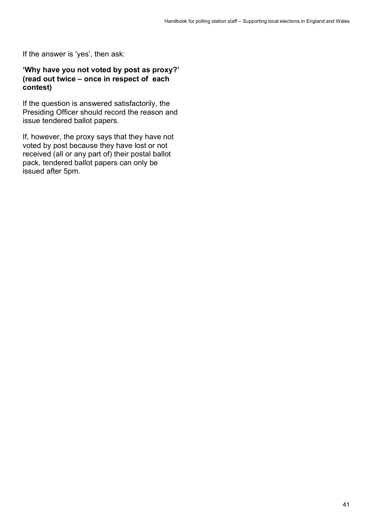If the answer is 'yes', then ask:

#### **'Why have you not voted by post as proxy?' (read out twice – once in respect of each contest)**

If the question is answered satisfactorily, the Presiding Officer should record the reason and issue tendered ballot papers.

If, however, the proxy says that they have not voted by post because they have lost or not received (all or any part of) their postal ballot pack, tendered ballot papers can only be issued after 5pm.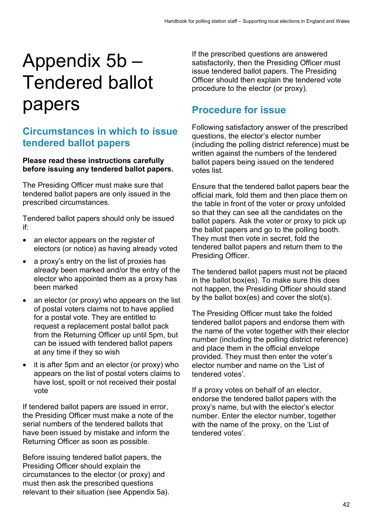## Appendix 5b – Tendered ballot papers

## **Circumstances in which to issue tendered ballot papers**

#### **Please read these instructions carefully before issuing any tendered ballot papers.**

The Presiding Officer must make sure that tendered ballot papers are only issued in the prescribed circumstances.

Tendered ballot papers should only be issued if:

- an elector appears on the register of electors (or notice) as having already voted
- a proxy's entry on the list of proxies has already been marked and/or the entry of the elector who appointed them as a proxy has been marked
- an elector (or proxy) who appears on the list of postal voters claims not to have applied for a postal vote. They are entitled to request a replacement postal ballot pack from the Returning Officer up until 5pm, but can be issued with tendered ballot papers at any time if they so wish
- it is after 5pm and an elector (or proxy) who appears on the list of postal voters claims to have lost, spoilt or not received their postal vote

If tendered ballot papers are issued in error, the Presiding Officer must make a note of the serial numbers of the tendered ballots that have been issued by mistake and inform the Returning Officer as soon as possible.

Before issuing tendered ballot papers, the Presiding Officer should explain the circumstances to the elector (or proxy) and must then ask the prescribed questions relevant to their situation (see Appendix 5a).

If the prescribed questions are answered satisfactorily, then the Presiding Officer must issue tendered ballot papers. The Presiding Officer should then explain the tendered vote procedure to the elector (or proxy).

## **Procedure for issue**

Following satisfactory answer of the prescribed questions, the elector's elector number (including the polling district reference) must be written against the numbers of the tendered ballot papers being issued on the tendered votes list.

Ensure that the tendered ballot papers bear the official mark, fold them and then place them on the table in front of the voter or proxy unfolded so that they can see all the candidates on the ballot papers. Ask the voter or proxy to pick up the ballot papers and go to the polling booth. They must then vote in secret, fold the tendered ballot papers and return them to the Presiding Officer.

The tendered ballot papers must not be placed in the ballot box(es). To make sure this does not happen, the Presiding Officer should stand by the ballot box(es) and cover the slot(s).

The Presiding Officer must take the folded tendered ballot papers and endorse them with the name of the voter together with their elector number (including the polling district reference) and place them in the official envelope provided. They must then enter the voter's elector number and name on the 'List of tendered votes'.

If a proxy votes on behalf of an elector, endorse the tendered ballot papers with the proxy's name, but with the elector's elector number. Enter the elector number, together with the name of the proxy, on the 'List of tendered votes'.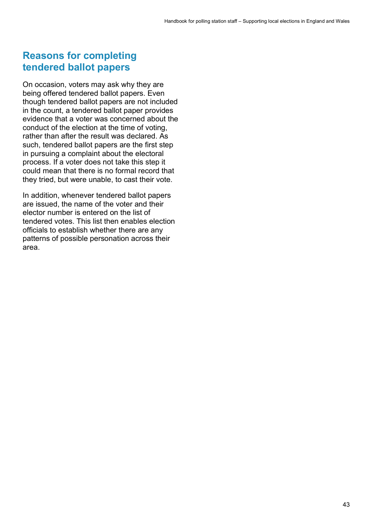### **Reasons for completing tendered ballot papers**

On occasion, voters may ask why they are being offered tendered ballot papers. Even though tendered ballot papers are not included in the count, a tendered ballot paper provides evidence that a voter was concerned about the conduct of the election at the time of voting, rather than after the result was declared. As such, tendered ballot papers are the first step in pursuing a complaint about the electoral process. If a voter does not take this step it could mean that there is no formal record that they tried, but were unable, to cast their vote.

In addition, whenever tendered ballot papers are issued, the name of the voter and their elector number is entered on the list of tendered votes. This list then enables election officials to establish whether there are any patterns of possible personation across their area.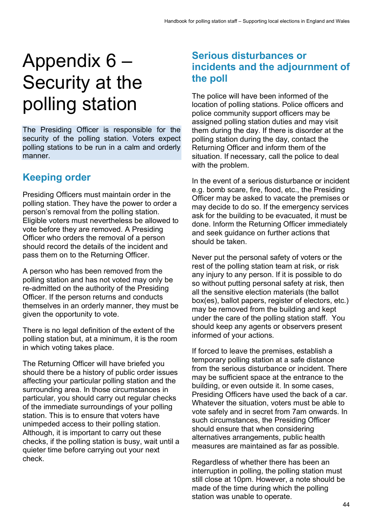## Appendix 6 – Security at the polling station

The Presiding Officer is responsible for the security of the polling station. Voters expect polling stations to be run in a calm and orderly manner.

## **Keeping order**

Presiding Officers must maintain order in the polling station. They have the power to order a person's removal from the polling station. Eligible voters must nevertheless be allowed to vote before they are removed. A Presiding Officer who orders the removal of a person should record the details of the incident and pass them on to the Returning Officer.

A person who has been removed from the polling station and has not voted may only be re-admitted on the authority of the Presiding Officer. If the person returns and conducts themselves in an orderly manner, they must be given the opportunity to vote.

There is no legal definition of the extent of the polling station but, at a minimum, it is the room in which voting takes place.

The Returning Officer will have briefed you should there be a history of public order issues affecting your particular polling station and the surrounding area. In those circumstances in particular, you should carry out regular checks of the immediate surroundings of your polling station. This is to ensure that voters have unimpeded access to their polling station. Although, it is important to carry out these checks, if the polling station is busy, wait until a quieter time before carrying out your next check.

## **Serious disturbances or incidents and the adjournment of the poll**

The police will have been informed of the location of polling stations. Police officers and police community support officers may be assigned polling station duties and may visit them during the day. If there is disorder at the polling station during the day, contact the Returning Officer and inform them of the situation. If necessary, call the police to deal with the problem.

In the event of a serious disturbance or incident e.g. bomb scare, fire, flood, etc., the Presiding Officer may be asked to vacate the premises or may decide to do so. If the emergency services ask for the building to be evacuated, it must be done. Inform the Returning Officer immediately and seek guidance on further actions that should be taken.

Never put the personal safety of voters or the rest of the polling station team at risk, or risk any injury to any person. If it is possible to do so without putting personal safety at risk, then all the sensitive election materials (the ballot box(es), ballot papers, register of electors, etc.) may be removed from the building and kept under the care of the polling station staff. You should keep any agents or observers present informed of your actions.

If forced to leave the premises, establish a temporary polling station at a safe distance from the serious disturbance or incident. There may be sufficient space at the entrance to the building, or even outside it. In some cases, Presiding Officers have used the back of a car. Whatever the situation, voters must be able to vote safely and in secret from 7am onwards. In such circumstances, the Presiding Officer should ensure that when considering alternatives arrangements, public health measures are maintained as far as possible.

Regardless of whether there has been an interruption in polling, the polling station must still close at 10pm. However, a note should be made of the time during which the polling station was unable to operate.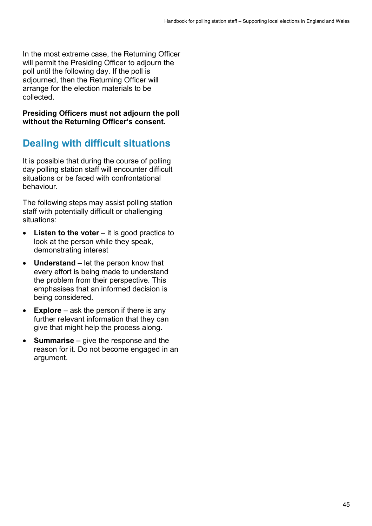In the most extreme case, the Returning Officer will permit the Presiding Officer to adjourn the poll until the following day. If the poll is adjourned, then the Returning Officer will arrange for the election materials to be collected.

**Presiding Officers must not adjourn the poll without the Returning Officer's consent.**

## **Dealing with difficult situations**

It is possible that during the course of polling day polling station staff will encounter difficult situations or be faced with confrontational behaviour.

The following steps may assist polling station staff with potentially difficult or challenging situations:

- **Listen to the voter** it is good practice to look at the person while they speak, demonstrating interest
- **Understand** let the person know that every effort is being made to understand the problem from their perspective. This emphasises that an informed decision is being considered.
- **Explore** ask the person if there is any further relevant information that they can give that might help the process along.
- **Summarise**  give the response and the reason for it. Do not become engaged in an argument.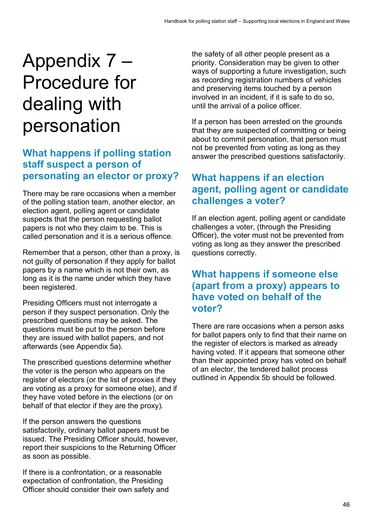## Appendix 7 – Procedure for dealing with personation

### **What happens if polling station staff suspect a person of personating an elector or proxy?**

There may be rare occasions when a member of the polling station team, another elector, an election agent, polling agent or candidate suspects that the person requesting ballot papers is not who they claim to be. This is called personation and it is a serious offence.

Remember that a person, other than a proxy, is not guilty of personation if they apply for ballot papers by a name which is not their own, as long as it is the name under which they have been registered.

Presiding Officers must not interrogate a person if they suspect personation. Only the prescribed questions may be asked. The questions must be put to the person before they are issued with ballot papers, and not afterwards (see Appendix 5a).

The prescribed questions determine whether the voter is the person who appears on the register of electors (or the list of proxies if they are voting as a proxy for someone else), and if they have voted before in the elections (or on behalf of that elector if they are the proxy).

If the person answers the questions satisfactorily, ordinary ballot papers must be issued. The Presiding Officer should, however, report their suspicions to the Returning Officer as soon as possible.

If there is a confrontation, or a reasonable expectation of confrontation, the Presiding Officer should consider their own safety and

the safety of all other people present as a priority. Consideration may be given to other ways of supporting a future investigation, such as recording registration numbers of vehicles and preserving items touched by a person involved in an incident, if it is safe to do so, until the arrival of a police officer.

If a person has been arrested on the grounds that they are suspected of committing or being about to commit personation, that person must not be prevented from voting as long as they answer the prescribed questions satisfactorily.

### **What happens if an election agent, polling agent or candidate challenges a voter?**

If an election agent, polling agent or candidate challenges a voter, (through the Presiding Officer), the voter must not be prevented from voting as long as they answer the prescribed questions correctly.

### **What happens if someone else (apart from a proxy) appears to have voted on behalf of the voter?**

There are rare occasions when a person asks for ballot papers only to find that their name on the register of electors is marked as already having voted. If it appears that someone other than their appointed proxy has voted on behalf of an elector, the tendered ballot process outlined in Appendix 5b should be followed.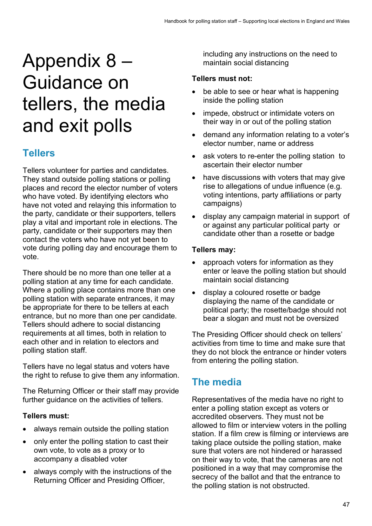## Appendix 8 – Guidance on tellers, the media and exit polls

## **Tellers**

Tellers volunteer for parties and candidates. They stand outside polling stations or polling places and record the elector number of voters who have voted. By identifying electors who have not voted and relaying this information to the party, candidate or their supporters, tellers play a vital and important role in elections. The party, candidate or their supporters may then contact the voters who have not yet been to vote during polling day and encourage them to vote.

There should be no more than one teller at a polling station at any time for each candidate. Where a polling place contains more than one polling station with separate entrances, it may be appropriate for there to be tellers at each entrance, but no more than one per candidate. Tellers should adhere to social distancing requirements at all times, both in relation to each other and in relation to electors and polling station staff.

Tellers have no legal status and voters have the right to refuse to give them any information.

The Returning Officer or their staff may provide further guidance on the activities of tellers.

#### **Tellers must:**

- always remain outside the polling station
- only enter the polling station to cast their own vote, to vote as a proxy or to accompany a disabled voter
- always comply with the instructions of the Returning Officer and Presiding Officer,

including any instructions on the need to maintain social distancing

#### **Tellers must not:**

- be able to see or hear what is happening inside the polling station
- impede, obstruct or intimidate voters on their way in or out of the polling station
- demand any information relating to a voter's elector number, name or address
- ask voters to re-enter the polling station to ascertain their elector number
- have discussions with voters that may give rise to allegations of undue influence (e.g. voting intentions, party affiliations or party campaigns)
- display any campaign material in support of or against any particular political party or candidate other than a rosette or badge

#### **Tellers may:**

- approach voters for information as they enter or leave the polling station but should maintain social distancing
- display a coloured rosette or badge displaying the name of the candidate or political party; the rosette/badge should not bear a slogan and must not be oversized

The Presiding Officer should check on tellers' activities from time to time and make sure that they do not block the entrance or hinder voters from entering the polling station.

## **The media**

Representatives of the media have no right to enter a polling station except as voters or accredited observers. They must not be allowed to film or interview voters in the polling station. If a film crew is filming or interviews are taking place outside the polling station, make sure that voters are not hindered or harassed on their way to vote, that the cameras are not positioned in a way that may compromise the secrecy of the ballot and that the entrance to the polling station is not obstructed.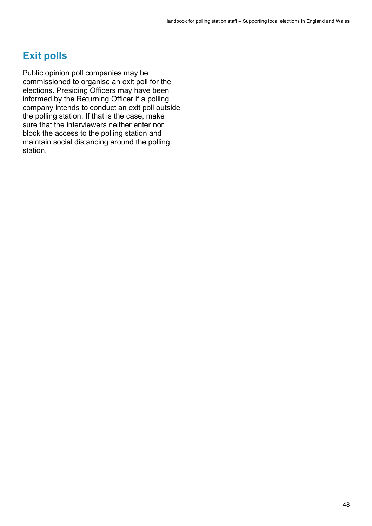## **Exit polls**

Public opinion poll companies may be commissioned to organise an exit poll for the elections. Presiding Officers may have been informed by the Returning Officer if a polling company intends to conduct an exit poll outside the polling station. If that is the case, make sure that the interviewers neither enter nor block the access to the polling station and maintain social distancing around the polling station.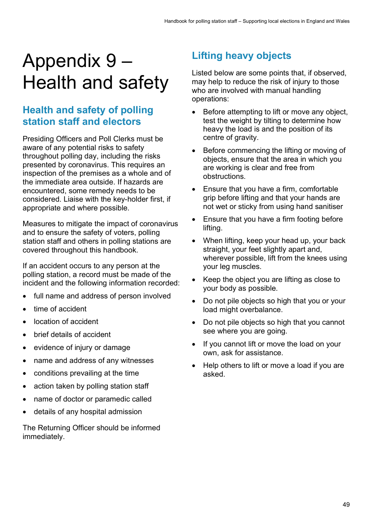## Appendix 9 – Health and safety

## **Health and safety of polling station staff and electors**

Presiding Officers and Poll Clerks must be aware of any potential risks to safety throughout polling day, including the risks presented by coronavirus. This requires an inspection of the premises as a whole and of the immediate area outside. If hazards are encountered, some remedy needs to be considered. Liaise with the key-holder first, if appropriate and where possible.

Measures to mitigate the impact of coronavirus and to ensure the safety of voters, polling station staff and others in polling stations are covered throughout this handbook.

If an accident occurs to any person at the polling station, a record must be made of the incident and the following information recorded:

- full name and address of person involved
- time of accident
- location of accident
- brief details of accident
- evidence of injury or damage
- name and address of any witnesses
- conditions prevailing at the time
- action taken by polling station staff
- name of doctor or paramedic called
- details of any hospital admission

The Returning Officer should be informed immediately.

## **Lifting heavy objects**

Listed below are some points that, if observed, may help to reduce the risk of injury to those who are involved with manual handling operations:

- Before attempting to lift or move any object, test the weight by tilting to determine how heavy the load is and the position of its centre of gravity.
- Before commencing the lifting or moving of objects, ensure that the area in which you are working is clear and free from obstructions.
- Ensure that you have a firm, comfortable grip before lifting and that your hands are not wet or sticky from using hand sanitiser
- Ensure that you have a firm footing before lifting.
- When lifting, keep your head up, your back straight, your feet slightly apart and, wherever possible, lift from the knees using your leg muscles.
- Keep the object you are lifting as close to your body as possible.
- Do not pile objects so high that you or your load might overbalance.
- Do not pile objects so high that you cannot see where you are going.
- If you cannot lift or move the load on your own, ask for assistance.
- Help others to lift or move a load if you are asked.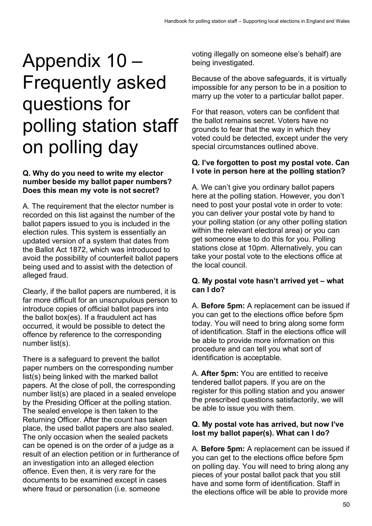## Appendix 10 – Frequently asked questions for polling station staff on polling day

#### **Q. Why do you need to write my elector number beside my ballot paper numbers? Does this mean my vote is not secret?**

A. The requirement that the elector number is recorded on this list against the number of the ballot papers issued to you is included in the election rules. This system is essentially an updated version of a system that dates from the Ballot Act 1872, which was introduced to avoid the possibility of counterfeit ballot papers being used and to assist with the detection of alleged fraud.

Clearly, if the ballot papers are numbered, it is far more difficult for an unscrupulous person to introduce copies of official ballot papers into the ballot box(es). If a fraudulent act has occurred, it would be possible to detect the offence by reference to the corresponding number list(s).

There is a safeguard to prevent the ballot paper numbers on the corresponding number list(s) being linked with the marked ballot papers. At the close of poll, the corresponding number list(s) are placed in a sealed envelope by the Presiding Officer at the polling station. The sealed envelope is then taken to the Returning Officer. After the count has taken place, the used ballot papers are also sealed. The only occasion when the sealed packets can be opened is on the order of a judge as a result of an election petition or in furtherance of an investigation into an alleged election offence. Even then, it is very rare for the documents to be examined except in cases where fraud or personation (i.e. someone

voting illegally on someone else's behalf) are being investigated.

Because of the above safeguards, it is virtually impossible for any person to be in a position to marry up the voter to a particular ballot paper.

For that reason, voters can be confident that the ballot remains secret. Voters have no grounds to fear that the way in which they voted could be detected, except under the very special circumstances outlined above.

#### **Q. I've forgotten to post my postal vote. Can I vote in person here at the polling station?**

A. We can't give you ordinary ballot papers here at the polling station. However, you don't need to post your postal vote in order to vote: you can deliver your postal vote by hand to your polling station (or any other polling station within the relevant electoral area) or you can get someone else to do this for you. Polling stations close at 10pm. Alternatively, you can take your postal vote to the elections office at the local council.

#### **Q. My postal vote hasn't arrived yet – what can I do?**

A. **Before 5pm:** A replacement can be issued if you can get to the elections office before 5pm today. You will need to bring along some form of identification. Staff in the elections office will be able to provide more information on this procedure and can tell you what sort of identification is acceptable.

A. **After 5pm:** You are entitled to receive tendered ballot papers. If you are on the register for this polling station and you answer the prescribed questions satisfactorily, we will be able to issue you with them.

#### **Q. My postal vote has arrived, but now I've lost my ballot paper(s). What can I do?**

A. **Before 5pm:** A replacement can be issued if you can get to the elections office before 5pm on polling day. You will need to bring along any pieces of your postal ballot pack that you still have and some form of identification. Staff in the elections office will be able to provide more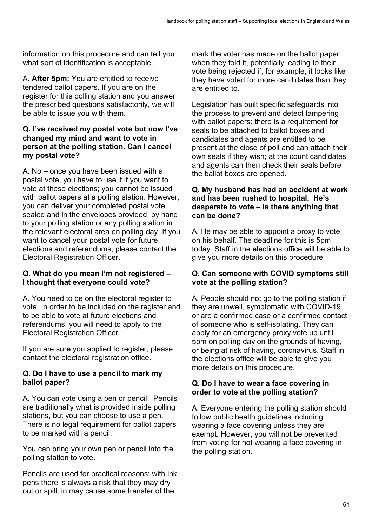information on this procedure and can tell you what sort of identification is acceptable.

A. **After 5pm:** You are entitled to receive tendered ballot papers. If you are on the register for this polling station and you answer the prescribed questions satisfactorily, we will be able to issue you with them.

#### **Q. I've received my postal vote but now I've changed my mind and want to vote in person at the polling station. Can I cancel my postal vote?**

A. No – once you have been issued with a postal vote, you have to use it if you want to vote at these elections; you cannot be issued with ballot papers at a polling station. However, you can deliver your completed postal vote, sealed and in the envelopes provided, by hand to your polling station or any polling station in the relevant electoral area on polling day. If you want to cancel your postal vote for future elections and referendums, please contact the Electoral Registration Officer.

#### **Q. What do you mean I'm not registered – I thought that everyone could vote?**

A. You need to be on the electoral register to vote. In order to be included on the register and to be able to vote at future elections and referendums, you will need to apply to the Electoral Registration Officer.

If you are sure you applied to register, please contact the electoral registration office.

#### **Q. Do I have to use a pencil to mark my ballot paper?**

A. You can vote using a pen or pencil. Pencils are traditionally what is provided inside polling stations, but you can choose to use a pen. There is no legal requirement for ballot papers to be marked with a pencil.

You can bring your own pen or pencil into the polling station to vote.

Pencils are used for practical reasons: with ink pens there is always a risk that they may dry out or spill; in may cause some transfer of the

mark the voter has made on the ballot paper when they fold it, potentially leading to their vote being rejected if, for example, it looks like they have voted for more candidates than they are entitled to.

Legislation has built specific safeguards into the process to prevent and detect tampering with ballot papers: there is a requirement for seals to be attached to ballot boxes and candidates and agents are entitled to be present at the close of poll and can attach their own seals if they wish; at the count candidates and agents can then check their seals before the ballot boxes are opened.

#### **Q. My husband has had an accident at work and has been rushed to hospital. He's desperate to vote – is there anything that can be done?**

A. He may be able to appoint a proxy to vote on his behalf. The deadline for this is 5pm today. Staff in the elections office will be able to give you more details on this procedure.

#### **Q. Can someone with COVID symptoms still vote at the polling station?**

A. People should not go to the polling station if they are unwell, symptomatic with COVID-19, or are a confirmed case or a confirmed contact of someone who is self-isolating. They can apply for an emergency proxy vote up until 5pm on polling day on the grounds of having, or being at risk of having, coronavirus. Staff in the elections office will be able to give you more details on this procedure.

#### **Q. Do I have to wear a face covering in order to vote at the polling station?**

A. Everyone entering the polling station should follow public health guidelines including wearing a face covering unless they are exempt. However, you will not be prevented from voting for not wearing a face covering in the polling station.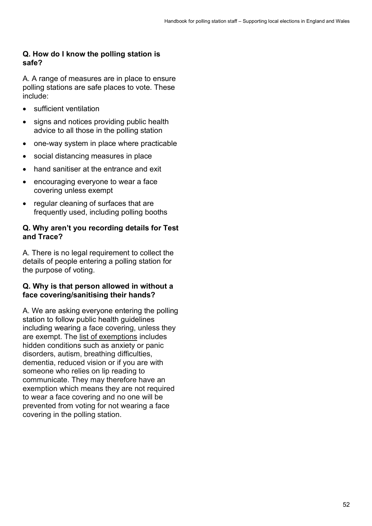#### **Q. How do I know the polling station is safe?**

A. A range of measures are in place to ensure polling stations are safe places to vote. These include:

- sufficient ventilation
- signs and notices providing public health advice to all those in the polling station
- one-way system in place where practicable
- social distancing measures in place
- hand sanitiser at the entrance and exit
- encouraging everyone to wear a face covering unless exempt
- regular cleaning of surfaces that are frequently used, including polling booths

#### **Q. Why aren't you recording details for Test and Trace?**

A. There is no legal requirement to collect the details of people entering a polling station for the purpose of voting.

#### **Q. Why is that person allowed in without a face covering/sanitising their hands?**

A. We are asking everyone entering the polling station to follow public health guidelines including wearing a face covering, unless they are exempt. The [list of exemptions](https://www.gov.uk/government/publications/face-coverings-when-to-wear-one-and-how-to-make-your-own/face-coverings-when-to-wear-one-and-how-to-make-your-own) includes hidden conditions such as anxiety or panic disorders, autism, breathing difficulties, dementia, reduced vision or if you are with someone who relies on lip reading to communicate. They may therefore have an exemption which means they are not required to wear a face covering and no one will be prevented from voting for not wearing a face covering in the polling station.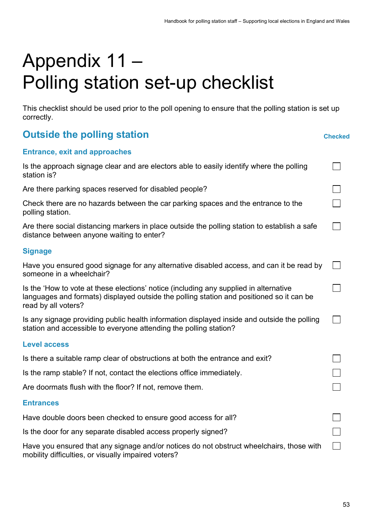## Appendix 11 – Polling station set-up checklist

This checklist should be used prior to the poll opening to ensure that the polling station is set up correctly.

| <b>Outside the polling station</b> | <b>Checked</b> |
|------------------------------------|----------------|
|                                    |                |

|  | <b>Checked</b> |
|--|----------------|
|  |                |

 $\Box$ 

П

 $\Box$ 

 $\Box$ 

 $\Box$ 

 $\Box$ 

П

 $\Box$ 

 $\Box$ 

#### **Entrance, exit and approaches**

| Is the approach signage clear and are electors able to easily identify where the polling |  |  |  |  |
|------------------------------------------------------------------------------------------|--|--|--|--|
| station is?                                                                              |  |  |  |  |

Are there parking spaces reserved for disabled people?

Check there are no hazards between the car parking spaces and the entrance to the polling station.

Are there social distancing markers in place outside the polling station to establish a safe distance between anyone waiting to enter?

#### **Signage**

| Have you ensured good signage for any alternative disabled access, and can it be read by |  |
|------------------------------------------------------------------------------------------|--|
| someone in a wheelchair?                                                                 |  |

| Is the 'How to vote at these elections' notice (including any supplied in alternative    |
|------------------------------------------------------------------------------------------|
| languages and formats) displayed outside the polling station and positioned so it can be |
| read by all voters?                                                                      |

| Is any signage providing public health information displayed inside and outside the polling |  |
|---------------------------------------------------------------------------------------------|--|
| station and accessible to everyone attending the polling station?                           |  |

#### **Level access**

| Is there a suitable ramp clear of obstructions at both the entrance and exit? |  |
|-------------------------------------------------------------------------------|--|
| Is the ramp stable? If not, contact the elections office immediately.         |  |
| Are doormats flush with the floor? If not, remove them.                       |  |

#### **Entrances**

Have double doors been checked to ensure good access for all?

Is the door for any separate disabled access properly signed?

Have you ensured that any signage and/or notices do not obstruct wheelchairs, those with mobility difficulties, or visually impaired voters?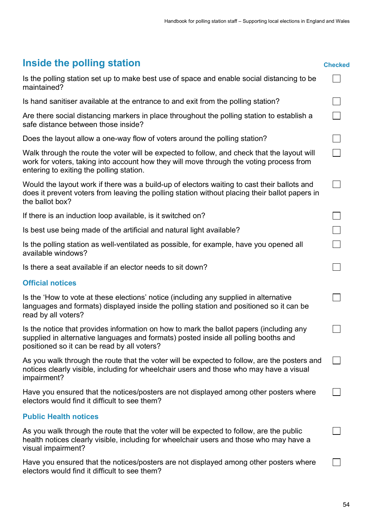## **Inside the polling station Checked**

| Is the polling station set up to make best use of space and enable social distancing to be<br>maintained?                                                                                                                          |  |
|------------------------------------------------------------------------------------------------------------------------------------------------------------------------------------------------------------------------------------|--|
| Is hand sanitiser available at the entrance to and exit from the polling station?                                                                                                                                                  |  |
| Are there social distancing markers in place throughout the polling station to establish a<br>safe distance between those inside?                                                                                                  |  |
| Does the layout allow a one-way flow of voters around the polling station?                                                                                                                                                         |  |
| Walk through the route the voter will be expected to follow, and check that the layout will<br>work for voters, taking into account how they will move through the voting process from<br>entering to exiting the polling station. |  |
| Would the layout work if there was a build-up of electors waiting to cast their ballots and<br>does it prevent voters from leaving the polling station without placing their ballot papers in<br>the ballot box?                   |  |
| If there is an induction loop available, is it switched on?                                                                                                                                                                        |  |
| Is best use being made of the artificial and natural light available?                                                                                                                                                              |  |
| Is the polling station as well-ventilated as possible, for example, have you opened all<br>available windows?                                                                                                                      |  |
| Is there a seat available if an elector needs to sit down?                                                                                                                                                                         |  |
| <b>Official notices</b>                                                                                                                                                                                                            |  |
| Is the 'How to vote at these elections' notice (including any supplied in alternative<br>languages and formats) displayed inside the polling station and positioned so it can be<br>read by all voters?                            |  |
| Is the notice that provides information on how to mark the ballot papers (including any<br>supplied in alternative languages and formats) posted inside all polling booths and<br>positioned so it can be read by all voters?      |  |
| As you walk through the route that the voter will be expected to follow, are the posters and<br>notices clearly visible, including for wheelchair users and those who may have a visual<br>impairment?                             |  |
| Have you ensured that the notices/posters are not displayed among other posters where<br>electors would find it difficult to see them?                                                                                             |  |
| <b>Public Health notices</b>                                                                                                                                                                                                       |  |
| As you walk through the route that the voter will be expected to follow, are the public<br>health notices clearly visible, including for wheelchair users and those who may have a<br>visual impairment?                           |  |
| Have you ensured that the notices/posters are not displayed among other posters where<br>electors would find it difficult to see them?                                                                                             |  |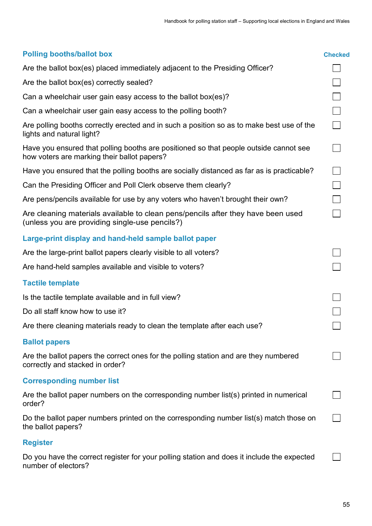| <b>Polling booths/ballot box</b>                                                                                                     | <b>Checked</b> |
|--------------------------------------------------------------------------------------------------------------------------------------|----------------|
| Are the ballot box(es) placed immediately adjacent to the Presiding Officer?                                                         |                |
| Are the ballot box(es) correctly sealed?                                                                                             |                |
| Can a wheelchair user gain easy access to the ballot box(es)?                                                                        |                |
| Can a wheelchair user gain easy access to the polling booth?                                                                         |                |
| Are polling booths correctly erected and in such a position so as to make best use of the<br>lights and natural light?               |                |
| Have you ensured that polling booths are positioned so that people outside cannot see<br>how voters are marking their ballot papers? |                |
| Have you ensured that the polling booths are socially distanced as far as is practicable?                                            |                |
| Can the Presiding Officer and Poll Clerk observe them clearly?                                                                       |                |
| Are pens/pencils available for use by any voters who haven't brought their own?                                                      |                |
| Are cleaning materials available to clean pens/pencils after they have been used<br>(unless you are providing single-use pencils?)   |                |
| Large-print display and hand-held sample ballot paper                                                                                |                |
| Are the large-print ballot papers clearly visible to all voters?                                                                     |                |
| Are hand-held samples available and visible to voters?                                                                               |                |
| <b>Tactile template</b>                                                                                                              |                |
| Is the tactile template available and in full view?                                                                                  |                |
| Do all staff know how to use it?                                                                                                     |                |
| Are there cleaning materials ready to clean the template after each use?                                                             |                |
| <b>Ballot papers</b>                                                                                                                 |                |
| Are the ballot papers the correct ones for the polling station and are they numbered<br>correctly and stacked in order?              |                |
| <b>Corresponding number list</b>                                                                                                     |                |
| Are the ballot paper numbers on the corresponding number list(s) printed in numerical<br>order?                                      |                |
| Do the ballot paper numbers printed on the corresponding number list(s) match those on<br>the ballot papers?                         |                |
| <b>Register</b>                                                                                                                      |                |
| Do you have the correct register for your polling station and does it include the expected<br>number of electors?                    |                |